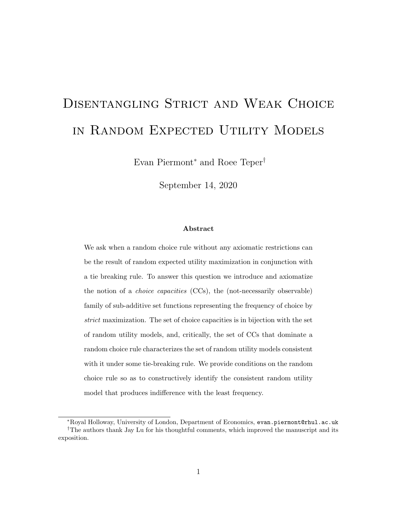# Disentangling Strict and Weak Choice in Random Expected Utility Models

Evan Piermont<sup>∗</sup> and Roee Teper†

September 14, 2020

## Abstract

We ask when a random choice rule without any axiomatic restrictions can be the result of random expected utility maximization in conjunction with a tie breaking rule. To answer this question we introduce and axiomatize the notion of a choice capacities (CCs), the (not-necessarily observable) family of sub-additive set functions representing the frequency of choice by strict maximization. The set of choice capacities is in bijection with the set of random utility models, and, critically, the set of CCs that dominate a random choice rule characterizes the set of random utility models consistent with it under some tie-breaking rule. We provide conditions on the random choice rule so as to constructively identify the consistent random utility model that produces indifference with the least frequency.

<sup>∗</sup>Royal Holloway, University of London, Department of Economics, evan.piermont@rhul.ac.uk †The authors thank Jay Lu for his thoughtful comments, which improved the manuscript and its exposition.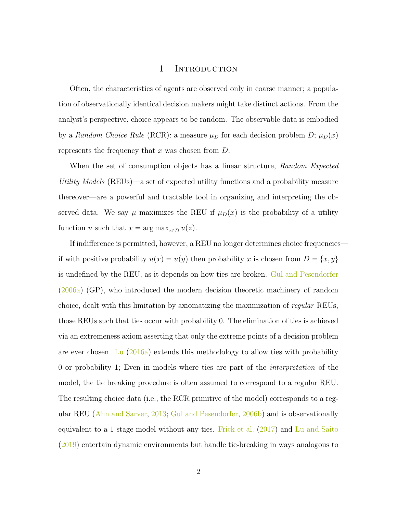# 1 INTRODUCTION

Often, the characteristics of agents are observed only in coarse manner; a population of observationally identical decision makers might take distinct actions. From the analyst's perspective, choice appears to be random. The observable data is embodied by a Random Choice Rule (RCR): a measure  $\mu_D$  for each decision problem D;  $\mu_D(x)$ represents the frequency that  $x$  was chosen from  $D$ .

When the set of consumption objects has a linear structure, Random Expected Utility Models (REUs)—a set of expected utility functions and a probability measure thereover—are a powerful and tractable tool in organizing and interpreting the observed data. We say  $\mu$  maximizes the REU if  $\mu_D(x)$  is the probability of a utility function u such that  $x = \arg \max_{z \in D} u(z)$ .

If indifference is permitted, however, a REU no longer determines choice frequencies if with positive probability  $u(x) = u(y)$  then probability x is chosen from  $D = \{x, y\}$ is undefined by the REU, as it depends on how ties are broken. [Gul and Pesendorfer](#page-25-0) [\(2006a\)](#page-25-0) (GP), who introduced the modern decision theoretic machinery of random choice, dealt with this limitation by axiomatizing the maximization of regular REUs, those REUs such that ties occur with probability 0. The elimination of ties is achieved via an extremeness axiom asserting that only the extreme points of a decision problem are ever chosen. [Lu](#page-26-0)  $(2016a)$  extends this methodology to allow ties with probability 0 or probability 1; Even in models where ties are part of the interpretation of the model, the tie breaking procedure is often assumed to correspond to a regular REU. The resulting choice data (i.e., the RCR primitive of the model) corresponds to a regular REU [\(Ahn and Sarver,](#page-25-1) [2013;](#page-25-1) [Gul and Pesendorfer,](#page-25-2) [2006b\)](#page-25-2) and is observationally equivalent to a 1 stage model without any ties. [Frick et al.](#page-25-3) [\(2017\)](#page-25-3) and [Lu and Saito](#page-26-1) [\(2019\)](#page-26-1) entertain dynamic environments but handle tie-breaking in ways analogous to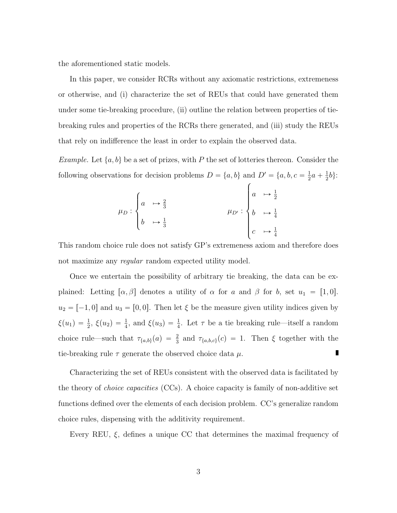the aforementioned static models.

In this paper, we consider RCRs without any axiomatic restrictions, extremeness or otherwise, and (i) characterize the set of REUs that could have generated them under some tie-breaking procedure, (ii) outline the relation between properties of tiebreaking rules and properties of the RCRs there generated, and (iii) study the REUs that rely on indifference the least in order to explain the observed data.

Example. Let  $\{a, b\}$  be a set of prizes, with P the set of lotteries thereon. Consider the following observations for decision problems  $D = \{a, b\}$  and  $D' = \{a, b, c = \frac{1}{2}\}$  $\frac{1}{2}a + \frac{1}{2}$ and  $D' = \{a, b, c = \frac{1}{2}a + \frac{1}{2}b\}$ :

$$
\mu_D: \begin{cases} a & \mapsto \frac{2}{3} \\ b & \mapsto \frac{1}{3} \end{cases} \qquad \qquad \mu_{D'}: \begin{cases} a & \mapsto \frac{1}{2} \\ b & \mapsto \frac{1}{4} \\ c & \mapsto \frac{1}{4} \end{cases}
$$

This random choice rule does not satisfy GP's extremeness axiom and therefore does not maximize any *regular* random expected utility model.

Once we entertain the possibility of arbitrary tie breaking, the data can be explained: Letting  $[\alpha, \beta]$  denotes a utility of  $\alpha$  for a and  $\beta$  for b, set  $u_1 = [1, 0]$ .  $u_2 = [-1, 0]$  and  $u_3 = [0, 0]$ . Then let  $\xi$  be the measure given utility indices given by  $\xi(u_1) = \frac{1}{2}$ ,  $\xi(u_2) = \frac{1}{4}$ , and  $\xi(u_3) = \frac{1}{4}$ . Let  $\tau$  be a tie breaking rule—itself a random choice rule—such that  $\tau_{\{a,b\}}(a) = \frac{2}{3}$  and  $\tau_{\{a,b,c\}}(c) = 1$ . Then  $\xi$  together with the tie-breaking rule  $\tau$  generate the observed choice data  $\mu$ . п

Characterizing the set of REUs consistent with the observed data is facilitated by the theory of *choice capacities* (CCs). A choice capacity is family of non-additive set functions defined over the elements of each decision problem. CC's generalize random choice rules, dispensing with the additivity requirement.

Every REU,  $\xi$ , defines a unique CC that determines the maximal frequency of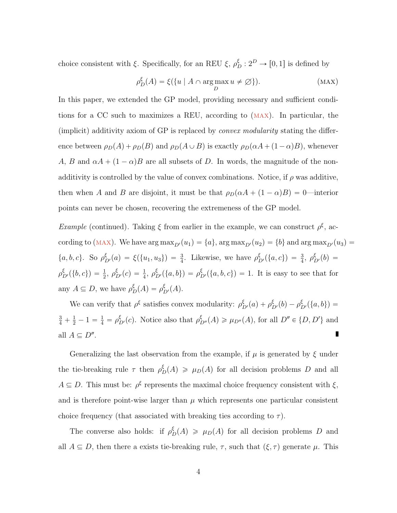choice consistent with  $\xi$ . Specifically, for an REU  $\xi$ ,  $\rho_D^{\xi}: 2^D \to [0, 1]$  is defined by

<span id="page-3-0"></span>
$$
\rho_D^{\xi}(A) = \xi({u \mid A \cap \arg\max_D u \neq \emptyset}).
$$
 (MAX)

In this paper, we extended the GP model, providing necessary and sufficient conditions for a CC such to maximizes a REU, according to ([max](#page-3-0)). In particular, the (implicit) additivity axiom of GP is replaced by convex modularity stating the difference between  $\rho_D(A) + \rho_D(B)$  and  $\rho_D(A \cup B)$  is exactly  $\rho_D(\alpha A + (1 - \alpha)B)$ , whenever A, B and  $\alpha A + (1 - \alpha)B$  are all subsets of D. In words, the magnitude of the nonadditivity is controlled by the value of convex combinations. Notice, if  $\rho$  was additive, then when A and B are disjoint, it must be that  $\rho_D(\alpha A + (1 - \alpha)B) = 0$ —interior points can never be chosen, recovering the extremeness of the GP model.

Example (continued). Taking  $\xi$  from earlier in the example, we can construct  $\rho^{\xi}$ , according to (MAX). We have  $\arg \max_{D'}(u_1) = \{a\}$  $\arg \max_{D'}(u_1) = \{a\}$  $\arg \max_{D'}(u_1) = \{a\}$ ,  $\arg \max_{D'}(u_2) = \{b\}$  and  $\arg \max_{D'}(u_3) = \{b\}$  $\{a, b, c\}$ . So  $\rho_{D'}^{\xi}(a) = \xi(\{u_1, u_3\}) = \frac{3}{4}$ . Likewise, we have  $\rho_{D'}^{\xi}(\{a, c\}) = \frac{3}{4}$ ,  $\rho_{D'}^{\xi}(b) =$  $\rho_{D'}^{\xi}(\{b,c\}) = \frac{1}{2}, \rho_{D'}^{\xi}(c) = \frac{1}{4}, \rho_{D'}^{\xi}(\{a,b\}) = \rho_{D'}^{\xi}(\{a,b,c\}) = 1$ . It is easy to see that for any  $A \subseteq D$ , we have  $\rho_D^{\xi}(A) = \rho_{D'}^{\xi}(A)$ .

We can verify that  $\rho^{\xi}$  satisfies convex modularity:  $\rho_{D'}^{\xi}(a) + \rho_{D'}^{\xi}(b) - \rho_{D'}^{\xi}(\{a, b\}) =$  $\frac{3}{4} + \frac{1}{2} - 1 = \frac{1}{4} = \rho_{D'}^{\xi}(c)$ . Notice also that  $\rho_{D''}^{\xi}(A) \ge \mu_{D''}(A)$ , for all  $D'' \in \{D, D'\}$  and all  $A \subseteq D''$ . П

Generalizing the last observation from the example, if  $\mu$  is generated by  $\xi$  under the tie-breaking rule  $\tau$  then  $\rho_D^{\xi}(A) \geq \mu_D(A)$  for all decision problems D and all  $A \subseteq D$ . This must be:  $\rho^{\xi}$  represents the maximal choice frequency consistent with  $\xi$ , and is therefore point-wise larger than  $\mu$  which represents one particular consistent choice frequency (that associated with breaking ties according to  $\tau$ ).

The converse also holds: if  $\rho_D^{\xi}(A) \geq \mu_D(A)$  for all decision problems D and all  $A \subseteq D$ , then there a exists tie-breaking rule,  $\tau$ , such that  $(\xi, \tau)$  generate  $\mu$ . This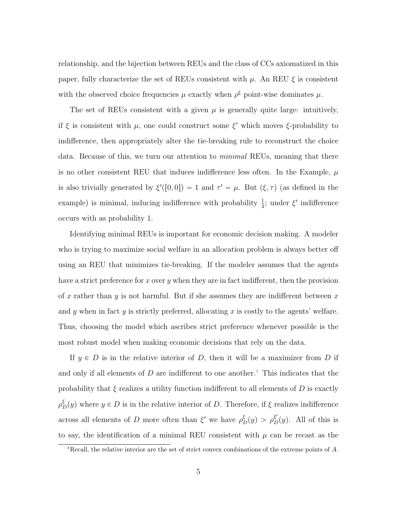relationship, and the bijection between REUs and the class of CCs axiomatized in this paper, fully characterize the set of REUs consistent with  $\mu$ . An REU  $\xi$  is consistent with the observed choice frequencies  $\mu$  exactly when  $\rho^{\xi}$  point-wise dominates  $\mu$ .

The set of REUs consistent with a given  $\mu$  is generally quite large: intuitively, if  $\xi$  is consistent with  $\mu$ , one could construct some  $\xi'$  which moves  $\xi$ -probability to indifference, then appropriately alter the tie-breaking rule to reconstruct the choice data. Because of this, we turn our attention to *minimal* REUs, meaning that there is no other consistent REU that induces indifference less often. In the Example,  $\mu$ is also trivially generated by  $\xi'([0,0]) = 1$  and  $\tau' = \mu$ . But  $(\xi, \tau)$  (as defined in the example) is minimal, inducing indifference with probability  $\frac{1}{4}$ ; under  $\xi'$  indifference occurs with as probability 1.

Identifying minimal REUs is important for economic decision making. A modeler who is trying to maximize social welfare in an allocation problem is always better off using an REU that minimizes tie-breaking. If the modeler assumes that the agents have a strict preference for x over y when they are in fact indifferent, then the provision of x rather than y is not harmful. But if she assumes they are indifferent between  $x$ and y when in fact y is strictly preferred, allocating x is costly to the agents' welfare. Thus, choosing the model which ascribes strict preference whenever possible is the most robust model when making economic decisions that rely on the data.

If  $y \in D$  is in the relative interior of D, then it will be a maximizer from D if and only if all elements of  $D$  are indifferent to one another.<sup>[1](#page-4-0)</sup> This indicates that the probability that  $\xi$  realizes a utility function indifferent to all elements of D is exactly  $\rho_D^{\xi}(y)$  where  $y \in D$  is in the relative interior of D. Therefore, if  $\xi$  realizes indifference across all elements of D more often than  $\xi'$  we have  $\rho_D^{\xi}(y) > \rho_D^{\xi'}(y)$ . All of this is to say, the identification of a minimal REU consistent with  $\mu$  can be recast as the

<span id="page-4-0"></span><sup>&</sup>lt;sup>1</sup>Recall, the relative interior are the set of strict convex combinations of the extreme points of  $A$ .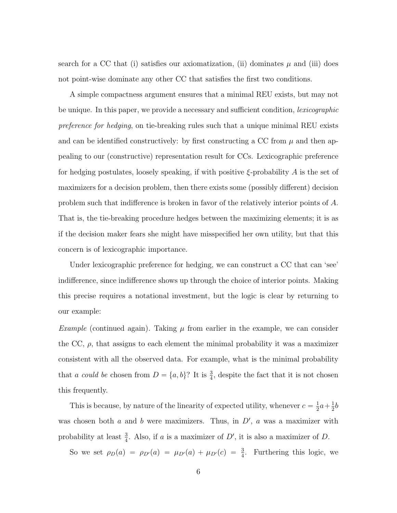search for a CC that (i) satisfies our axiomatization, (ii) dominates  $\mu$  and (iii) does not point-wise dominate any other CC that satisfies the first two conditions.

A simple compactness argument ensures that a minimal REU exists, but may not be unique. In this paper, we provide a necessary and sufficient condition, *lexicographic* preference for hedging, on tie-breaking rules such that a unique minimal REU exists and can be identified constructively: by first constructing a CC from  $\mu$  and then appealing to our (constructive) representation result for CCs. Lexicographic preference for hedging postulates, loosely speaking, if with positive  $\xi$ -probability A is the set of maximizers for a decision problem, then there exists some (possibly different) decision problem such that indifference is broken in favor of the relatively interior points of A. That is, the tie-breaking procedure hedges between the maximizing elements; it is as if the decision maker fears she might have misspecified her own utility, but that this concern is of lexicographic importance.

Under lexicographic preference for hedging, we can construct a CC that can 'see' indifference, since indifference shows up through the choice of interior points. Making this precise requires a notational investment, but the logic is clear by returning to our example:

*Example* (continued again). Taking  $\mu$  from earlier in the example, we can consider the CC,  $\rho$ , that assigns to each element the minimal probability it was a maximizer consistent with all the observed data. For example, what is the minimal probability that a could be chosen from  $D = \{a, b\}$ ? It is  $\frac{3}{4}$ , despite the fact that it is not chosen this frequently.

This is because, by nature of the linearity of expected utility, whenever  $c = \frac{1}{2}$  $rac{1}{2}a + \frac{1}{2}$  $rac{1}{2}b$ was chosen both  $a$  and  $b$  were maximizers. Thus, in  $D'$ ,  $a$  was a maximizer with probability at least  $\frac{3}{4}$ . Also, if a is a maximizer of D', it is also a maximizer of D.

So we set  $\rho_D(a) = \rho_{D'}(a) = \mu_{D'}(a) + \mu_{D'}(c) = \frac{3}{4}$ . Furthering this logic, we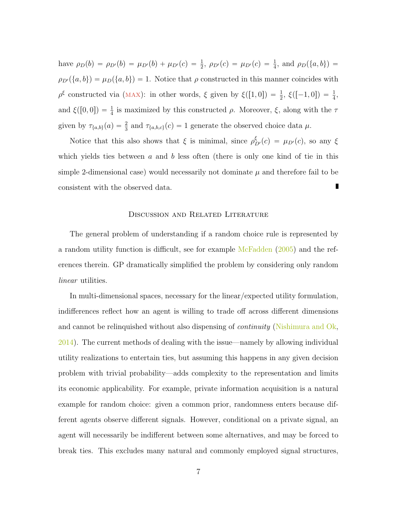have  $\rho_D(b) = \rho_{D'}(b) = \mu_{D'}(b) + \mu_{D'}(c) = \frac{1}{2}$ ,  $\rho_{D'}(c) = \mu_{D'}(c) = \frac{1}{4}$ , and  $\rho_D(\{a, b\}) =$  $\rho_{D'}(\{a, b\}) = \mu_D(\{a, b\}) = 1$ . Notice that  $\rho$  constructed in this manner coincides with  $\rho^{\xi}$  constructed via (MAX): in other words,  $\xi$  given by  $\xi([1,0]) = \frac{1}{2}$ ,  $\xi([-1,0]) = \frac{1}{4}$ , and  $\xi([0, 0]) = \frac{1}{4}$  is maximized by this constructed  $\rho$ . Moreover,  $\xi$ , along with the  $\tau$ given by  $\tau_{\{a,b\}}(a) = \frac{2}{3}$  and  $\tau_{\{a,b,c\}}(c) = 1$  generate the observed choice data  $\mu$ .

Notice that this also shows that  $\xi$  is minimal, since  $\rho_{D'}^{\xi}(c) = \mu_{D'}(c)$ , so any  $\xi$ which yields ties between  $a$  and  $b$  less often (there is only one kind of tie in this simple 2-dimensional case) would necessarily not dominate  $\mu$  and therefore fail to be consistent with the observed data.

#### Discussion and Related Literature

The general problem of understanding if a random choice rule is represented by a random utility function is difficult, see for example [McFadden](#page-26-2) [\(2005\)](#page-26-2) and the references therein. GP dramatically simplified the problem by considering only random linear utilities.

In multi-dimensional spaces, necessary for the linear/expected utility formulation, indifferences reflect how an agent is willing to trade off across different dimensions and cannot be relinquished without also dispensing of *continuity* [\(Nishimura and Ok,](#page-26-3) [2014\)](#page-26-3). The current methods of dealing with the issue—namely by allowing individual utility realizations to entertain ties, but assuming this happens in any given decision problem with trivial probability—adds complexity to the representation and limits its economic applicability. For example, private information acquisition is a natural example for random choice: given a common prior, randomness enters because different agents observe different signals. However, conditional on a private signal, an agent will necessarily be indifferent between some alternatives, and may be forced to break ties. This excludes many natural and commonly employed signal structures,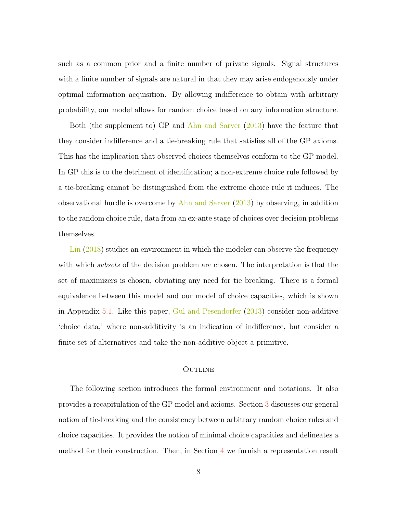such as a common prior and a finite number of private signals. Signal structures with a finite number of signals are natural in that they may arise endogenously under optimal information acquisition. By allowing indifference to obtain with arbitrary probability, our model allows for random choice based on any information structure.

Both (the supplement to) GP and [Ahn and Sarver](#page-25-1) [\(2013\)](#page-25-1) have the feature that they consider indifference and a tie-breaking rule that satisfies all of the GP axioms. This has the implication that observed choices themselves conform to the GP model. In GP this is to the detriment of identification; a non-extreme choice rule followed by a tie-breaking cannot be distinguished from the extreme choice rule it induces. The observational hurdle is overcome by  $A<sup>h</sup>$  and Sarver [\(2013\)](#page-25-1) by observing, in addition to the random choice rule, data from an ex-ante stage of choices over decision problems themselves.

[Lin](#page-25-4) [\(2018\)](#page-25-4) studies an environment in which the modeler can observe the frequency with which *subsets* of the decision problem are chosen. The interpretation is that the set of maximizers is chosen, obviating any need for tie breaking. There is a formal equivalence between this model and our model of choice capacities, which is shown in Appendix [5.1.](#page-21-0) Like this paper, [Gul and Pesendorfer](#page-25-5) [\(2013\)](#page-25-5) consider non-additive 'choice data,' where non-additivity is an indication of indifference, but consider a finite set of alternatives and take the non-additive object a primitive.

## **OUTLINE**

The following section introduces the formal environment and notations. It also provides a recapitulation of the GP model and axioms. Section [3](#page-12-0) discusses our general notion of tie-breaking and the consistency between arbitrary random choice rules and choice capacities. It provides the notion of minimal choice capacities and delineates a method for their construction. Then, in Section [4](#page-19-0) we furnish a representation result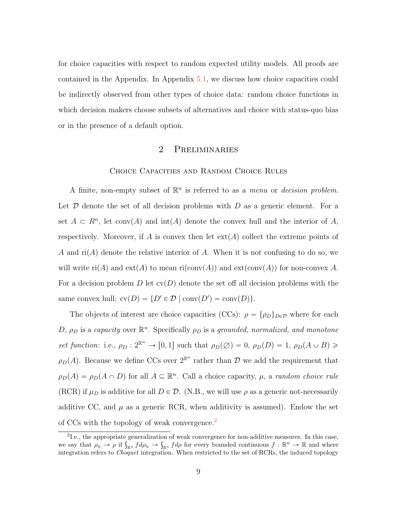for choice capacities with respect to random expected utility models. All proofs are contained in the Appendix. In Appendix [5.1,](#page-21-0) we discuss how choice capacities could be indirectly observed from other types of choice data: random choice functions in which decision makers choose subsets of alternatives and choice with status-quo bias or in the presence of a default option.

# 2 Preliminaries

### Choice Capacities and Random Choice Rules

A finite, non-empty subset of  $\mathbb{R}^n$  is referred to as a *menu* or *decision problem.* Let  $\mathcal D$  denote the set of all decision problems with  $D$  as a generic element. For a set  $A \subset R^n$ , let conv $(A)$  and int $(A)$  denote the convex hull and the interior of A, respectively. Moreover, if A is convex then let  $ext(A)$  collect the extreme points of A and  $ri(A)$  denote the relative interior of A. When it is not confusing to do so, we will write  $\text{ri}(A)$  and  $\text{ext}(A)$  to mean  $\text{ri}(\text{conv}(A))$  and  $\text{ext}(\text{conv}(A))$  for non-convex A. For a decision problem D let  $\text{cv}(D)$  denote the set off all decision problems with the same convex hull:  $\text{cv}(D) = \{D' \in \mathcal{D} \mid \text{conv}(D') = \text{conv}(D)\}.$ 

The objects of interest are choice capacities (CCs):  $\rho = {\rho_D}_{D \in \mathcal{D}}$  where for each D,  $\rho_D$  is a capacity over  $\mathbb{R}^n$ . Specifically  $\rho_D$  is a grounded, normalized, and monotone set function: i.e.,  $\rho_D : 2^{\mathbb{R}^n} \to [0, 1]$  such that  $\rho_D(\emptyset) = 0$ ,  $\rho_D(D) = 1$ ,  $\rho_D(A \cup B) \geq$  $\rho_D(A)$ . Because we define CCs over  $2^{\mathbb{R}^n}$  rather than  $\mathcal D$  we add the requirement that  $\rho_D(A) = \rho_D(A \cap D)$  for all  $A \subseteq \mathbb{R}^n$ . Call a choice capacity,  $\mu$ , a random choice rule (RCR) if  $\mu_D$  is additive for all  $D \in \mathcal{D}$ . (N.B., we will use  $\rho$  as a generic not-necessarily additive CC, and  $\mu$  as a generic RCR, when additivity is assumed). Endow the set of CCs with the topology of weak convergence.<sup>[2](#page-8-0)</sup>

<span id="page-8-0"></span><sup>&</sup>lt;sup>2</sup>I.e., the appropriate generalization of weak convergence for non-additive measures. In this case, <sup>2</sup>I.e., the appropriate generalization of weak convergence for non-additive measures. In this case, we say that  $\rho_n \to \rho$  if  $\int_{\mathbb{R}^n} f d\rho_n \to \int_{\mathbb{R}^n} f d\rho$  for every bounded continuous  $f : \mathbb{R}^n \to \mathbb{R}$  and whe integration refers to Choquet integration. When restricted to the set of RCRs, the induced topology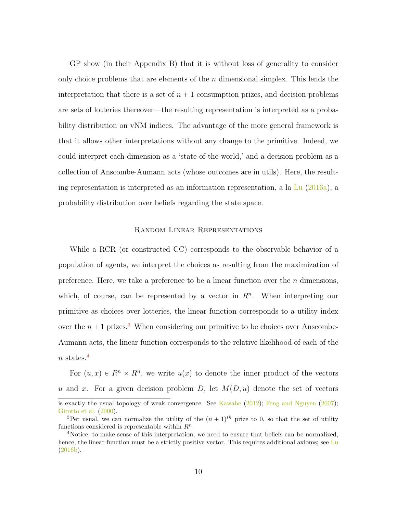GP show (in their Appendix B) that it is without loss of generality to consider only choice problems that are elements of the  $n$  dimensional simplex. This lends the interpretation that there is a set of  $n + 1$  consumption prizes, and decision problems are sets of lotteries thereover—the resulting representation is interpreted as a probability distribution on vNM indices. The advantage of the more general framework is that it allows other interpretations without any change to the primitive. Indeed, we could interpret each dimension as a 'state-of-the-world,' and a decision problem as a collection of Anscombe-Aumann acts (whose outcomes are in utils). Here, the resulting representation is interpreted as an information representation, a la  $\text{Lu}$  $\text{Lu}$  $\text{Lu}$  [\(2016a\)](#page-26-0), a probability distribution over beliefs regarding the state space.

#### Random Linear Representations

While a RCR (or constructed CC) corresponds to the observable behavior of a population of agents, we interpret the choices as resulting from the maximization of preference. Here, we take a preference to be a linear function over the  $n$  dimensions, which, of course, can be represented by a vector in  $R<sup>n</sup>$ . When interpreting our primitive as choices over lotteries, the linear function corresponds to a utility index over the  $n + 1$  prizes.<sup>[3](#page-9-0)</sup> When considering our primitive to be choices over Anscombe-Aumann acts, the linear function corresponds to the relative likelihood of each of the  $n \;{\rm states}.^4$  $n \;{\rm states}.^4$ 

For  $(u, x) \in R^n \times R^n$ , we write  $u(x)$  to denote the inner product of the vectors u and x. For a given decision problem D, let  $M(D, u)$  denote the set of vectors

is exactly the usual topology of weak convergence. See [Kawabe](#page-25-6) [\(2012\)](#page-25-6); [Feng and Nguyen](#page-25-7) [\(2007\)](#page-25-7); [Girotto et al.](#page-25-8) [\(2000\)](#page-25-8).

<span id="page-9-0"></span><sup>&</sup>lt;sup>3</sup>Per usual, we can normalize the utility of the  $(n + 1)$ <sup>th</sup> prize to 0, so that the set of utility functions considered is representable within  $R^n$ .

<span id="page-9-1"></span><sup>4</sup>Notice, to make sense of this interpretation, we need to ensure that beliefs can be normalized, hence, the linear function must be a strictly positive vector. This requires additional axioms; see [Lu](#page-26-4) [\(2016b\)](#page-26-4).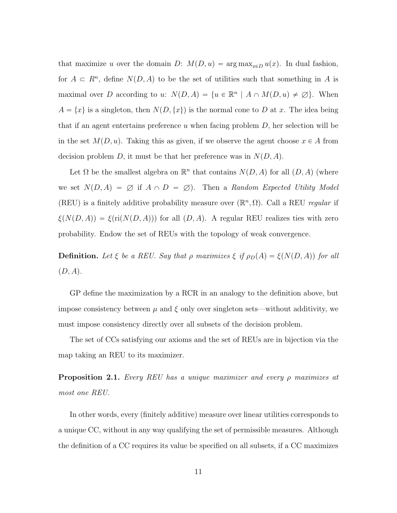that maximize u over the domain D:  $M(D, u) = \arg \max_{x \in D} u(x)$ . In dual fashion, for  $A \subset R^n$ , define  $N(D, A)$  to be the set of utilities such that something in A is maximal over D according to u:  $N(D, A) = \{u \in \mathbb{R}^n \mid A \cap M(D, u) \neq \emptyset\}$ . When  $A = \{x\}$  is a singleton, then  $N(D, \{x\})$  is the normal cone to D at x. The idea being that if an agent entertains preference u when facing problem  $D$ , her selection will be in the set  $M(D, u)$ . Taking this as given, if we observe the agent choose  $x \in A$  from decision problem D, it must be that her preference was in  $N(D, A)$ .

Let  $\Omega$  be the smallest algebra on  $\mathbb{R}^n$  that contains  $N(D, A)$  for all  $(D, A)$  (where we set  $N(D, A) = \emptyset$  if  $A \cap D = \emptyset$ . Then a Random Expected Utility Model (REU) is a finitely additive probability measure over  $(\mathbb{R}^n, \Omega)$ . Call a REU regular if  $\xi(N(D, A)) = \xi(\text{ri}(N(D, A)))$  for all  $(D, A)$ . A regular REU realizes ties with zero probability. Endow the set of REUs with the topology of weak convergence.

**Definition.** Let  $\xi$  be a REU. Say that  $\rho$  maximizes  $\xi$  if  $\rho_D(A) = \xi(N(D, A))$  for all  $(D, A)$ .

GP define the maximization by a RCR in an analogy to the definition above, but impose consistency between  $\mu$  and  $\xi$  only over singleton sets—without additivity, we must impose consistency directly over all subsets of the decision problem.

The set of CCs satisfying our axioms and the set of REUs are in bijection via the map taking an REU to its maximizer.

<span id="page-10-0"></span>**Proposition 2.1.** Every REU has a unique maximizer and every  $\rho$  maximizes at most one REU.

In other words, every (finitely additive) measure over linear utilities corresponds to a unique CC, without in any way qualifying the set of permissible measures. Although the definition of a CC requires its value be specified on all subsets, if a CC maximizes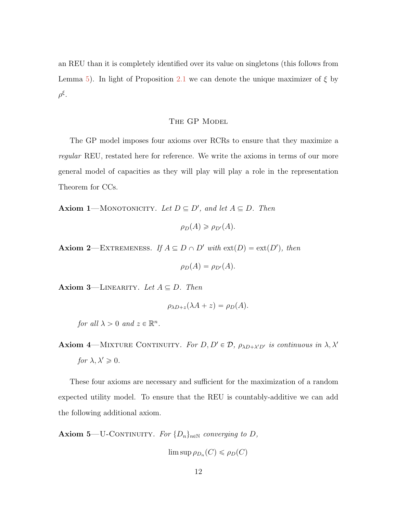an REU than it is completely identified over its value on singletons (this follows from Lemma [5\)](#page-30-0). In light of Proposition [2.1](#page-10-0) we can denote the unique maximizer of  $\xi$  by  $ρ^{\xi}$ .

## THE GP MODEL

The GP model imposes four axioms over RCRs to ensure that they maximize a regular REU, restated here for reference. We write the axioms in terms of our more general model of capacities as they will play will play a role in the representation Theorem for CCs.

<span id="page-11-1"></span>**Axiom 1**—MONOTONICITY. Let  $D \subseteq D'$ , and let  $A \subseteq D$ . Then

$$
\rho_D(A) \geq \rho_{D'}(A).
$$

<span id="page-11-2"></span>**Axiom 2**—EXTREMENESS. If  $A \subseteq D \cap D'$  with  $ext(D) = ext(D')$ , then

$$
\rho_D(A) = \rho_{D'}(A).
$$

<span id="page-11-3"></span>Axiom 3—LINEARITY. Let  $A \subseteq D$ . Then

$$
\rho_{\lambda D+z}(\lambda A+z)=\rho_D(A).
$$

for all  $\lambda > 0$  and  $z \in \mathbb{R}^n$ .

<span id="page-11-4"></span>**Axiom 4**—MIXTURE CONTINUITY. For  $D, D' \in \mathcal{D}$ ,  $\rho_{\lambda D + \lambda' D'}$  is continuous in  $\lambda, \lambda'$ for  $\lambda, \lambda' \geqslant 0$ .

These four axioms are necessary and sufficient for the maximization of a random expected utility model. To ensure that the REU is countably-additive we can add the following additional axiom.

<span id="page-11-0"></span>**Axiom 5**—U-CONTINUITY. For  $\{D_n\}_{n\in\mathbb{N}}$  converging to D,

 $\limsup \rho_{D_n}(C) \leqslant \rho_D(C)$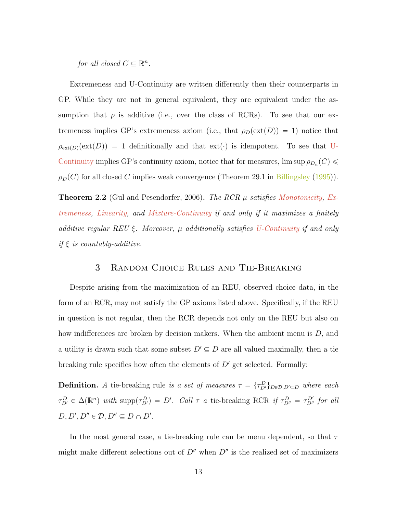for all closed  $C \subseteq \mathbb{R}^n$ .

Extremeness and U-Continuity are written differently then their counterparts in GP. While they are not in general equivalent, they are equivalent under the assumption that  $\rho$  is additive (i.e., over the class of RCRs). To see that our extremeness implies GP's extremeness axiom (i.e., that  $\rho_D(\text{ext}(D)) = 1$ ) notice that  $\rho_{\text{ext}(D)}(\text{ext}(D)) = 1$  definitionally and that  $\text{ext}(\cdot)$  is idempotent. To see that [U-](#page-11-0)[Continuity](#page-11-0) implies GP's continuity axiom, notice that for measures,  $\limsup \rho_{D_n}(C)$  $\rho_D(C)$  for all closed C implies weak convergence (Theorem 29.1 in [Billingsley](#page-25-9) [\(1995\)](#page-25-9)).

**Theorem 2.2** (Gul and Pesendorfer, 2006). The RCR  $\mu$  satisfies [Monotonicity,](#page-11-1) [Ex](#page-11-2)[tremeness,](#page-11-2) [Linearity,](#page-11-3) and [Mixture-Continuity](#page-11-4) if and only if it maximizes a finitely additive regular REU  $\xi$ . Moreover,  $\mu$  additionally satisfies [U-Continuity](#page-11-0) if and only if  $\xi$  is countably-additive.

# 3 Random Choice Rules and Tie-Breaking

<span id="page-12-0"></span>Despite arising from the maximization of an REU, observed choice data, in the form of an RCR, may not satisfy the GP axioms listed above. Specifically, if the REU in question is not regular, then the RCR depends not only on the REU but also on how indifferences are broken by decision makers. When the ambient menu is D, and a utility is drawn such that some subset  $D' \subseteq D$  are all valued maximally, then a tie breaking rule specifies how often the elements of  $D'$  get selected. Formally:

**Definition.** A tie-breaking rule is a set of measures  $\tau = {\tau_{D'}^D}_{D \in \mathcal{D}, D' \subseteq D}$  where each  $\tau_{D'}^D \in \Delta(\mathbb{R}^n)$  with supp $(\tau_{D'}^D) = D'$ . Call  $\tau$  a tie-breaking RCR if  $\tau_{D''}^D = \tau_{D''}^{D'}$  for all  $D, D', D'' \in \mathcal{D}, D'' \subseteq D \cap D'.$ 

In the most general case, a tie-breaking rule can be menu dependent, so that  $\tau$ might make different selections out of  $D''$  when  $D''$  is the realized set of maximizers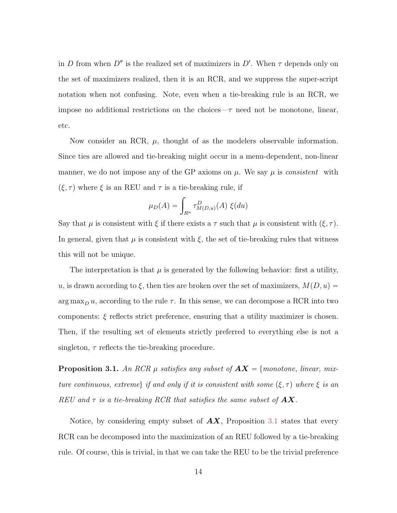in D from when  $D''$  is the realized set of maximizers in  $D'$ . When  $\tau$  depends only on the set of maximizers realized, then it is an RCR, and we suppress the super-script notation when not confusing. Note, even when a tie-breaking rule is an RCR, we impose no additional restrictions on the choices— $\tau$  need not be monotone, linear, etc.

Now consider an RCR,  $\mu$ , thought of as the modelers observable information. Since ties are allowed and tie-breaking might occur in a menu-dependent, non-linear manner, we do not impose any of the GP axioms on  $\mu$ . We say  $\mu$  is *consistent* with  $(\xi, \tau)$  where  $\xi$  is an REU and  $\tau$  is a tie-breaking rule, if

$$
\mu_D(A) = \int_{R^n} \tau^D_{M(D,u)}(A) \xi(du)
$$

Say that  $\mu$  is consistent with  $\xi$  if there exists a  $\tau$  such that  $\mu$  is consistent with  $(\xi, \tau)$ . In general, given that  $\mu$  is consistent with  $\xi$ , the set of tie-breaking rules that witness this will not be unique.

The interpretation is that  $\mu$  is generated by the following behavior: first a utility, u, is drawn according to  $\xi$ , then ties are broken over the set of maximizers,  $M(D, u) =$  $\arg \max_{D} u$ , according to the rule  $\tau$ . In this sense, we can decompose a RCR into two components:  $\xi$  reflects strict preference, ensuring that a utility maximizer is chosen. Then, if the resulting set of elements strictly preferred to everything else is not a singleton,  $\tau$  reflects the tie-breaking procedure.

<span id="page-13-0"></span>**Proposition 3.1.** An RCR  $\mu$  satisfies any subset of  $AX = \{monotone, linear, mix-\}$ ture continuous, extremel if and only if it is consistent with some  $(\xi, \tau)$  where  $\xi$  is an REU and  $\tau$  is a tie-breaking RCR that satisfies the same subset of  $AX$ .

Notice, by considering empty subset of  $\mathbf{A}\mathbf{X}$ , Proposition [3.1](#page-13-0) states that every RCR can be decomposed into the maximization of an REU followed by a tie-breaking rule. Of course, this is trivial, in that we can take the REU to be the trivial preference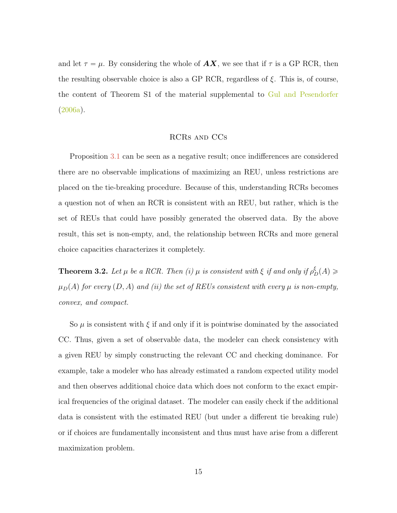and let  $\tau = \mu$ . By considering the whole of  $AX$ , we see that if  $\tau$  is a GP RCR, then the resulting observable choice is also a GP RCR, regardless of  $\xi$ . This is, of course, the content of Theorem S1 of the material supplemental to [Gul and Pesendorfer](#page-25-0) [\(2006a\)](#page-25-0).

#### RCRs and CCs

Proposition [3.1](#page-13-0) can be seen as a negative result; once indifferences are considered there are no observable implications of maximizing an REU, unless restrictions are placed on the tie-breaking procedure. Because of this, understanding RCRs becomes a question not of when an RCR is consistent with an REU, but rather, which is the set of REUs that could have possibly generated the observed data. By the above result, this set is non-empty, and, the relationship between RCRs and more general choice capacities characterizes it completely.

<span id="page-14-0"></span>**Theorem 3.2.** Let  $\mu$  be a RCR. Then (i)  $\mu$  is consistent with  $\xi$  if and only if  $\rho_D^{\xi}(A) \geq$  $\mu_D(A)$  for every  $(D, A)$  and (ii) the set of REUs consistent with every  $\mu$  is non-empty, convex, and compact.

So  $\mu$  is consistent with  $\xi$  if and only if it is pointwise dominated by the associated CC. Thus, given a set of observable data, the modeler can check consistency with a given REU by simply constructing the relevant CC and checking dominance. For example, take a modeler who has already estimated a random expected utility model and then observes additional choice data which does not conform to the exact empirical frequencies of the original dataset. The modeler can easily check if the additional data is consistent with the estimated REU (but under a different tie breaking rule) or if choices are fundamentally inconsistent and thus must have arise from a different maximization problem.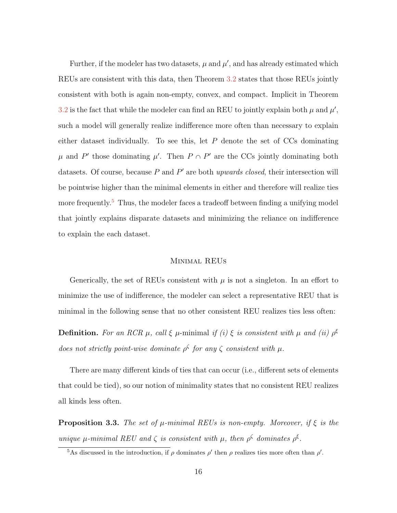Further, if the modeler has two datasets,  $\mu$  and  $\mu'$ , and has already estimated which REUs are consistent with this data, then Theorem [3.2](#page-14-0) states that those REUs jointly consistent with both is again non-empty, convex, and compact. Implicit in Theorem [3.2](#page-14-0) is the fact that while the modeler can find an REU to jointly explain both  $\mu$  and  $\mu'$ , such a model will generally realize indifference more often than necessary to explain either dataset individually. To see this, let  $P$  denote the set of  $CCs$  dominating  $\mu$  and P' those dominating  $\mu'$ . Then  $P \cap P'$  are the CCs jointly dominating both datasets. Of course, because  $P$  and  $P'$  are both upwards closed, their intersection will be pointwise higher than the minimal elements in either and therefore will realize ties more frequently.<sup>[5](#page-15-0)</sup> Thus, the modeler faces a tradeoff between finding a unifying model that jointly explains disparate datasets and minimizing the reliance on indifference to explain the each dataset.

## Minimal REUs

Generically, the set of REUs consistent with  $\mu$  is not a singleton. In an effort to minimize the use of indifference, the modeler can select a representative REU that is minimal in the following sense that no other consistent REU realizes ties less often:

**Definition.** For an RCR  $\mu$ , call  $\xi$   $\mu$ -minimal if (i)  $\xi$  is consistent with  $\mu$  and (ii)  $\rho^{\xi}$ does not strictly point-wise dominate  $\rho^{\zeta}$  for any  $\zeta$  consistent with  $\mu$ .

There are many different kinds of ties that can occur (i.e., different sets of elements that could be tied), so our notion of minimality states that no consistent REU realizes all kinds less often.

<span id="page-15-1"></span>**Proposition 3.3.** The set of  $\mu$ -minimal REUs is non-empty. Moreover, if  $\xi$  is the unique  $\mu$ -minimal REU and  $\zeta$  is consistent with  $\mu$ , then  $\rho^{\zeta}$  dominates  $\rho^{\xi}$ .

<span id="page-15-0"></span><sup>&</sup>lt;sup>5</sup>As discussed in the introduction, if  $\rho$  dominates  $\rho'$  then  $\rho$  realizes ties more often than  $\rho'$ .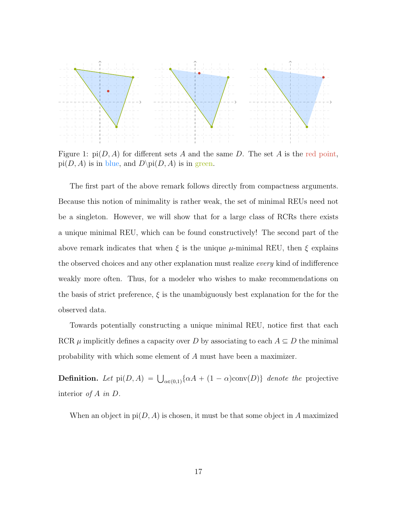

Figure 1:  $pi(D, A)$  for different sets A and the same D. The set A is the red point,  $pi(D, A)$  is in blue, and  $D\pi(D, A)$  is in green.

The first part of the above remark follows directly from compactness arguments. Because this notion of minimality is rather weak, the set of minimal REUs need not be a singleton. However, we will show that for a large class of RCRs there exists a unique minimal REU, which can be found constructively! The second part of the above remark indicates that when  $\xi$  is the unique  $\mu$ -minimal REU, then  $\xi$  explains the observed choices and any other explanation must realize every kind of indifference weakly more often. Thus, for a modeler who wishes to make recommendations on the basis of strict preference,  $\xi$  is the unambiguously best explanation for the for the observed data.

Towards potentially constructing a unique minimal REU, notice first that each RCR  $\mu$  implicitly defines a capacity over D by associating to each  $A \subseteq D$  the minimal probability with which some element of A must have been a maximizer.

**Definition.** Let  $pi(D, A) = \bigcup_{\alpha \in (0,1)} {\alpha A + (1 - \alpha) \text{conv}(D)}$  denote the projective interior of  $A$  in  $D$ .

When an object in  $pi(D, A)$  is chosen, it must be that some object in A maximized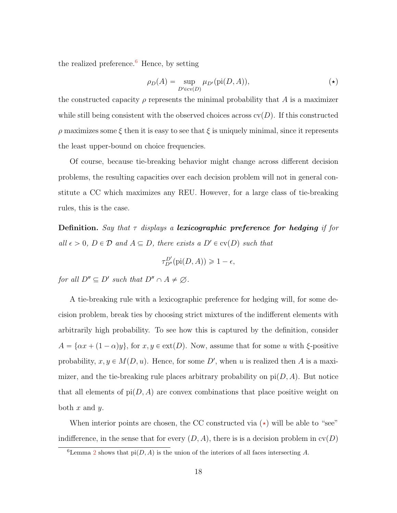the realized preference.<sup>[6](#page-17-0)</sup> Hence, by setting

$$
\rho_D(A) = \sup_{D' \in \text{cv}(D)} \mu_{D'}(\text{pi}(D, A)), \tag{\star}
$$

the constructed capacity  $\rho$  represents the minimal probability that A is a maximizer while still being consistent with the observed choices across  $\text{cv}(D)$ . If this constructed  $ρ$  maximizes some ξ then it is easy to see that ξ is uniquely minimal, since it represents the least upper-bound on choice frequencies.

Of course, because tie-breaking behavior might change across different decision problems, the resulting capacities over each decision problem will not in general constitute a CC which maximizes any REU. However, for a large class of tie-breaking rules, this is the case.

**Definition.** Say that  $\tau$  displays a lexicographic preference for hedging if for all  $\epsilon > 0$ ,  $D \in \mathcal{D}$  and  $A \subseteq D$ , there exists a  $D' \in cv(D)$  such that

$$
\tau_{D''}^{D'}(\text{pi}(D,A)) \geq 1 - \epsilon,
$$

for all  $D'' \subseteq D'$  such that  $D'' \cap A \neq \emptyset$ .

A tie-breaking rule with a lexicographic preference for hedging will, for some decision problem, break ties by choosing strict mixtures of the indifferent elements with arbitrarily high probability. To see how this is captured by the definition, consider  $A = {\alpha x + (1 - \alpha)y}$ , for  $x, y \in ext(D)$ . Now, assume that for some u with ξ-positive probability,  $x, y \in M(D, u)$ . Hence, for some D', when u is realized then A is a maximizer, and the tie-breaking rule places arbitrary probability on  $pi(D, A)$ . But notice that all elements of  $pi(D, A)$  are convex combinations that place positive weight on both  $x$  and  $y$ .

When interior points are chosen, the CC constructed via  $(\star)$  will be able to "see" indifference, in the sense that for every  $(D, A)$ , there is is a decision problem in  $\text{cv}(D)$ 

<span id="page-17-0"></span><sup>&</sup>lt;sup>6</sup>Lemma [2](#page-29-0) shows that  $pi(D, A)$  is the union of the interiors of all faces intersecting A.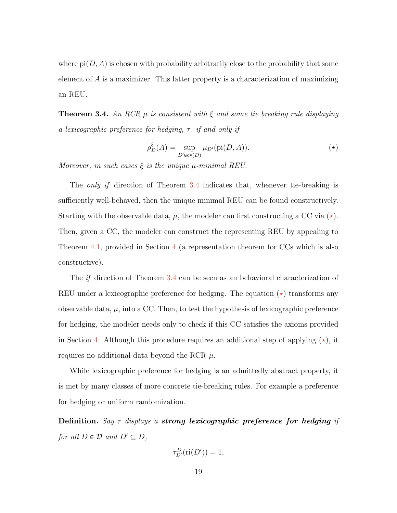where  $pi(D, A)$  is chosen with probability arbitrarily close to the probability that some element of A is a maximizer. This latter property is a characterization of maximizing an REU.

<span id="page-18-1"></span>**Theorem 3.4.** An RCR  $\mu$  is consistent with  $\xi$  and some tie breaking rule displaying a lexicographic preference for hedging,  $\tau$ , if and only if

<span id="page-18-0"></span>
$$
\rho_D^{\xi}(A) = \sup_{D' \in \text{cv}(D)} \mu_{D'}(\text{pi}(D, A)).
$$
 (\*)

Moreover, in such cases  $\xi$  is the unique  $\mu$ -minimal REU.

The only if direction of Theorem [3.4](#page-18-1) indicates that, whenever tie-breaking is sufficiently well-behaved, then the unique minimal REU can be found constructively. Starting with the observable data,  $\mu$ , the modeler can first constructing a CC via  $(\star)$ . Then, given a CC, the modeler can construct the representing REU by appealing to Theorem [4.1,](#page-20-0) provided in Section [4](#page-19-0) (a representation theorem for CCs which is also constructive).

The if direction of Theorem [3.4](#page-18-1) can be seen as an behavioral characterization of REU under a lexicographic preference for hedging. The equation  $(\star)$  transforms any observable data,  $\mu$ , into a CC. Then, to test the hypothesis of lexicographic preference for hedging, the modeler needs only to check if this CC satisfies the axioms provided in Section [4.](#page-19-0) Although this procedure requires an additional step of applying  $(\star)$ , it requires no additional data beyond the RCR  $\mu$ .

While lexicographic preference for hedging is an admittedly abstract property, it is met by many classes of more concrete tie-breaking rules. For example a preference for hedging or uniform randomization.

Definition. Say  $\tau$  displays a strong lexicographic preference for hedging if for all  $D \in \mathcal{D}$  and  $D' \subseteq D$ ,

$$
\tau^D_{D'}(\text{ri}(D'))=1,
$$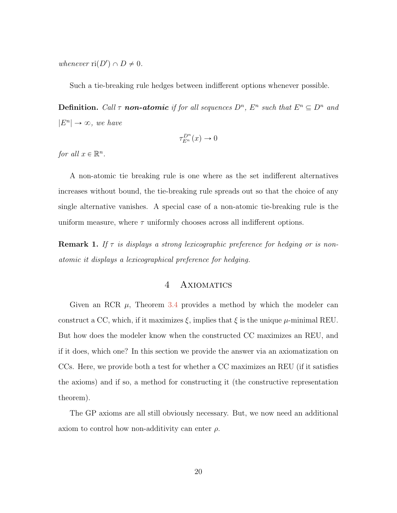whenever  $\text{ri}(D') \cap D \neq 0$ .

Such a tie-breaking rule hedges between indifferent options whenever possible.

**Definition.** Call  $\tau$  **non-atomic** if for all sequences  $D^n$ ,  $E^n$  such that  $E^n \subseteq D^n$  and  $|E^n| \to \infty$ , we have

$$
\tau_{E^n}^{D^n}(x) \to 0
$$

for all  $x \in \mathbb{R}^n$ .

A non-atomic tie breaking rule is one where as the set indifferent alternatives increases without bound, the tie-breaking rule spreads out so that the choice of any single alternative vanishes. A special case of a non-atomic tie-breaking rule is the uniform measure, where  $\tau$  uniformly chooses across all indifferent options.

<span id="page-19-0"></span>**Remark 1.** If  $\tau$  is displays a strong lexicographic preference for hedging or is nonatomic it displays a lexicographical preference for hedging.

# 4 AXIOMATICS

Given an RCR  $\mu$ , Theorem [3.4](#page-18-1) provides a method by which the modeler can construct a CC, which, if it maximizes  $\xi$ , implies that  $\xi$  is the unique  $\mu$ -minimal REU. But how does the modeler know when the constructed CC maximizes an REU, and if it does, which one? In this section we provide the answer via an axiomatization on CCs. Here, we provide both a test for whether a CC maximizes an REU (if it satisfies the axioms) and if so, a method for constructing it (the constructive representation theorem).

The GP axioms are all still obviously necessary. But, we now need an additional axiom to control how non-additivity can enter  $\rho$ .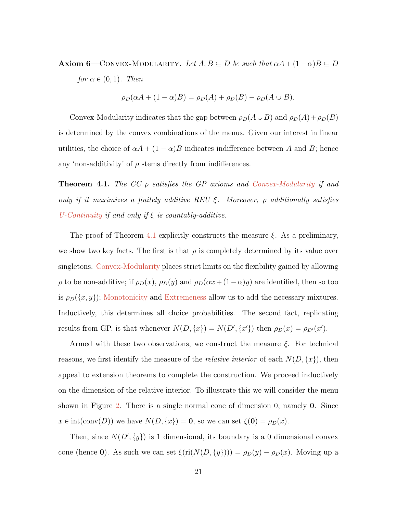<span id="page-20-1"></span>**Axiom 6**—CONVEX-MODULARITY. Let  $A, B \subseteq D$  be such that  $\alpha A + (1 - \alpha)B \subseteq D$ for  $\alpha \in (0, 1)$ . Then

$$
\rho_D(\alpha A + (1 - \alpha)B) = \rho_D(A) + \rho_D(B) - \rho_D(A \cup B).
$$

Convex-Modularity indicates that the gap between  $\rho_D(A \cup B)$  and  $\rho_D(A) + \rho_D(B)$ is determined by the convex combinations of the menus. Given our interest in linear utilities, the choice of  $\alpha A + (1 - \alpha)B$  indicates indifference between A and B; hence any 'non-additivity' of  $\rho$  stems directly from indifferences.

<span id="page-20-0"></span>**Theorem 4.1.** The CC  $\rho$  satisfies the GP axioms and [Convex-Modularity](#page-20-1) if and only if it maximizes a finitely additive REU  $\xi$ . Moreover,  $\rho$  additionally satisfies [U-Continuity](#page-11-0) if and only if  $\xi$  is countably-additive.

The proof of Theorem [4.1](#page-20-0) explicitly constructs the measure  $\xi$ . As a preliminary, we show two key facts. The first is that  $\rho$  is completely determined by its value over singletons. [Convex-Modularity](#page-20-1) places strict limits on the flexibility gained by allowing  $\rho$  to be non-additive; if  $\rho_D(x)$ ,  $\rho_D(y)$  and  $\rho_D(\alpha x + (1 - \alpha)y)$  are identified, then so too is  $\rho_D(\{x, y\})$ ; [Monotonicity](#page-11-1) and [Extremeness](#page-11-2) allow us to add the necessary mixtures. Inductively, this determines all choice probabilities. The second fact, replicating results from GP, is that whenever  $N(D, \{x\}) = N(D', \{x'\})$  then  $\rho_D(x) = \rho_{D'}(x')$ .

Armed with these two observations, we construct the measure  $\xi$ . For technical reasons, we first identify the measure of the *relative interior* of each  $N(D, \{x\})$ , then appeal to extension theorems to complete the construction. We proceed inductively on the dimension of the relative interior. To illustrate this we will consider the menu shown in Figure [2.](#page-21-1) There is a single normal cone of dimension 0, namely 0. Since  $x \in \text{int}(\text{conv}(D))$  we have  $N(D, \{x\}) = 0$ , so we can set  $\xi(0) = \rho_D(x)$ .

Then, since  $N(D', \{y\})$  is 1 dimensional, its boundary is a 0 dimensional convex cone (hence 0). As such we can set  $\xi$ (ri( $N(D, \{y\})$ )) =  $\rho_D(y) - \rho_D(x)$ . Moving up a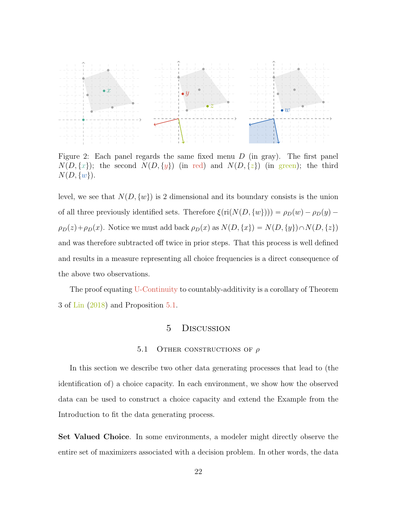

<span id="page-21-1"></span>Figure 2: Each panel regards the same fixed menu  $D$  (in gray). The first panel  $N(D, \{x\})$ ; the second  $N(D, \{y\})$  (in red) and  $N(D, \{z\})$  (in green); the third  $N(D, \{w\}).$ 

level, we see that  $N(D, \{w\})$  is 2 dimensional and its boundary consists is the union of all three previously identified sets. Therefore  $\xi(\text{ri}(N(D, \{w\}))) = \rho_D(w) - \rho_D(y)$  –  $\rho_D(z) + \rho_D(x)$ . Notice we must add back  $\rho_D(x)$  as  $N(D, \{x\}) = N(D, \{y\}) \cap N(D, \{z\})$ and was therefore subtracted off twice in prior steps. That this process is well defined and results in a measure representing all choice frequencies is a direct consequence of the above two observations.

The proof equating [U-Continuity](#page-11-0) to countably-additivity is a corollary of Theorem 3 of [Lin](#page-25-4) [\(2018\)](#page-25-4) and Proposition [5.1.](#page-23-0)

# 5 Discussion

### 5.1 OTHER CONSTRUCTIONS OF  $\rho$

<span id="page-21-0"></span>In this section we describe two other data generating processes that lead to (the identification of) a choice capacity. In each environment, we show how the observed data can be used to construct a choice capacity and extend the Example from the Introduction to fit the data generating process.

Set Valued Choice. In some environments, a modeler might directly observe the entire set of maximizers associated with a decision problem. In other words, the data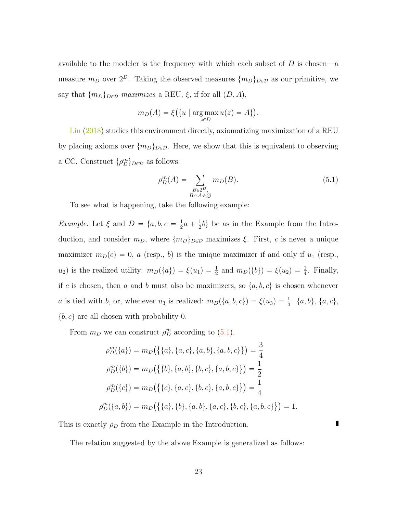available to the modeler is the frequency with which each subset of  $D$  is chosen—a measure  $m_D$  over  $2^D$ . Taking the observed measures  $\{m_D\}_{D\in\mathcal{D}}$  as our primitive, we say that  $\{m_D\}_{D\in\mathcal{D}}$  maximizes a REU,  $\xi$ , if for all  $(D, A)$ ,

$$
m_D(A) = \xi\big(\{u \mid \arg\max_{z \in D} u(z) = A\}\big).
$$

[Lin](#page-25-4) [\(2018\)](#page-25-4) studies this environment directly, axiomatizing maximization of a REU by placing axioms over  $\{m_D\}_{D\in\mathcal{D}}$ . Here, we show that this is equivalent to observing a CC. Construct  $\{\rho_D^m\}_{D \in \mathcal{D}}$  as follows:

<span id="page-22-0"></span>
$$
\rho_D^m(A) = \sum_{\substack{B \in 2^D, \\ B \cap A \neq \emptyset}} m_D(B). \tag{5.1}
$$

П

To see what is happening, take the following example:

*Example.* Let  $\xi$  and  $D = \{a, b, c = \frac{1}{2}\}$  $\frac{1}{2}a + \frac{1}{2}$  $\frac{1}{2}b$  be as in the Example from the Introduction, and consider  $m_D$ , where  $\{m_D\}_{D \in \mathcal{D}}$  maximizes  $\xi$ . First, c is never a unique maximizer  $m_D(c) = 0$ , a (resp., b) is the unique maximizer if and only if  $u_1$  (resp.,  $u_2$ ) is the realized utility:  $m_D(\lbrace a \rbrace) = \xi(u_1) = \frac{1}{2}$  and  $m_D(\lbrace b \rbrace) = \xi(u_2) = \frac{1}{4}$ . Finally, if c is chosen, then a and b must also be maximizers, so  $\{a, b, c\}$  is chosen whenever a is tied with b, or, whenever  $u_3$  is realized:  $m_D(\lbrace a, b, c \rbrace) = \xi(u_3) = \frac{1}{4}$ .  $\lbrace a, b \rbrace$ ,  $\lbrace a, c \rbrace$ ,  $\{b, c\}$  are all chosen with probability 0.

From  $m_D$  we can construct  $\rho_D^m$  according to [\(5.1\)](#page-22-0).

$$
\rho_D^m(\{a\}) = m_D(\{\{a\}, \{a, c\}, \{a, b\}, \{a, b, c\}\}) = \frac{3}{4}
$$
  

$$
\rho_D^m(\{b\}) = m_D(\{\{b\}, \{a, b\}, \{b, c\}, \{a, b, c\}\}) = \frac{1}{2}
$$
  

$$
\rho_D^m(\{c\}) = m_D(\{\{c\}, \{a, c\}, \{b, c\}, \{a, b, c\}\}) = \frac{1}{4}
$$
  

$$
\rho_D^m(\{a, b\}) = m_D(\{\{a\}, \{b\}, \{a, b\}, \{a, c\}, \{b, c\}, \{a, b, c\}\}) = 1.
$$

This is exactly  $\rho_D$  from the Example in the Introduction.

The relation suggested by the above Example is generalized as follows: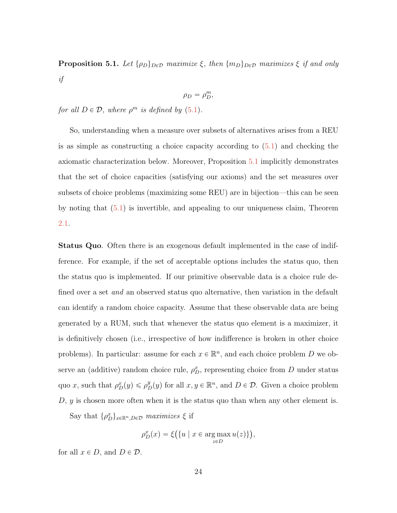<span id="page-23-0"></span>**Proposition 5.1.** Let  $\{\rho_D\}_{D\in\mathcal{D}}$  maximize  $\xi$ , then  $\{m_D\}_{D\in\mathcal{D}}$  maximizes  $\xi$  if and only if

$$
\rho_D = \rho_D^m,
$$

for all  $D \in \mathcal{D}$ , where  $\rho^m$  is defined by  $(5.1)$ .

So, understanding when a measure over subsets of alternatives arises from a REU is as simple as constructing a choice capacity according to  $(5.1)$  and checking the axiomatic characterization below. Moreover, Proposition [5.1](#page-23-0) implicitly demonstrates that the set of choice capacities (satisfying our axioms) and the set measures over subsets of choice problems (maximizing some REU) are in bijection—this can be seen by noting that [\(5.1\)](#page-22-0) is invertible, and appealing to our uniqueness claim, Theorem [2.1.](#page-10-0)

Status Quo. Often there is an exogenous default implemented in the case of indifference. For example, if the set of acceptable options includes the status quo, then the status quo is implemented. If our primitive observable data is a choice rule defined over a set *and* an observed status quo alternative, then variation in the default can identify a random choice capacity. Assume that these observable data are being generated by a RUM, such that whenever the status quo element is a maximizer, it is definitively chosen (i.e., irrespective of how indifference is broken in other choice problems). In particular: assume for each  $x \in \mathbb{R}^n$ , and each choice problem D we observe an (additive) random choice rule,  $\rho_D^x$ , representing choice from D under status quo x, such that  $\rho_D^x(y) \leq \rho_D^y(y)$  for all  $x, y \in \mathbb{R}^n$ , and  $D \in \mathcal{D}$ . Given a choice problem  $D, y$  is chosen more often when it is the status quo than when any other element is.

Say that  $\{\rho_D^x\}_{x \in \mathbb{R}^n, D \in \mathcal{D}}$  maximizes  $\xi$  if

$$
\rho_D^x(x) = \xi\big(\{u \mid x \in \underset{z \in D}{\arg\max} u(z)\}\big),\,
$$

for all  $x \in D$ , and  $D \in \mathcal{D}$ .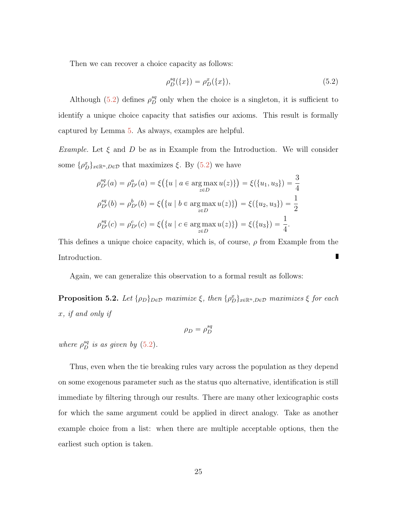Then we can recover a choice capacity as follows:

<span id="page-24-0"></span>
$$
\rho_D^{sq}(\{x\}) = \rho_D^x(\{x\}),\tag{5.2}
$$

Although [\(5.2\)](#page-24-0) defines  $\rho_D^{sq}$  only when the choice is a singleton, it is sufficient to identify a unique choice capacity that satisfies our axioms. This result is formally captured by Lemma [5.](#page-30-0) As always, examples are helpful.

*Example.* Let  $\xi$  and D be as in Example from the Introduction. We will consider some  $\{\rho_D^x\}_{x \in \mathbb{R}^n, D \in \mathcal{D}}$  that maximizes  $\xi$ . By  $(5.2)$  we have

$$
\rho_{D'}^{sq}(a) = \rho_{D'}^{a}(a) = \xi(\{u \mid a \in \operatorname*{arg\,max}_{z \in D} u(z)\}) = \xi(\{u_1, u_3\}) = \frac{3}{4}
$$

$$
\rho_{D'}^{sq}(b) = \rho_{D'}^{b}(b) = \xi(\{u \mid b \in \operatorname*{arg\,max}_{z \in D} u(z)\}) = \xi(\{u_2, u_3\}) = \frac{1}{2}
$$

$$
\rho_{D'}^{sq}(c) = \rho_{D'}^{c}(c) = \xi(\{u \mid c \in \operatorname*{arg\,max}_{z \in D} u(z)\}) = \xi(\{u_3\}) = \frac{1}{4}.
$$

This defines a unique choice capacity, which is, of course,  $\rho$  from Example from the Introduction.

Again, we can generalize this observation to a formal result as follows:

<span id="page-24-1"></span>**Proposition 5.2.** Let  $\{\rho_D\}_{D \in \mathcal{D}}$  maximize  $\xi$ , then  $\{\rho_D^x\}_{x \in \mathbb{R}^n, D \in \mathcal{D}}$  maximizes  $\xi$  for each x, if and only if

$$
\rho_D = \rho_D^{sq}
$$

where  $\rho_D^{sq}$  is as given by [\(5.2\)](#page-24-0).

Thus, even when the tie breaking rules vary across the population as they depend on some exogenous parameter such as the status quo alternative, identification is still immediate by filtering through our results. There are many other lexicographic costs for which the same argument could be applied in direct analogy. Take as another example choice from a list: when there are multiple acceptable options, then the earliest such option is taken.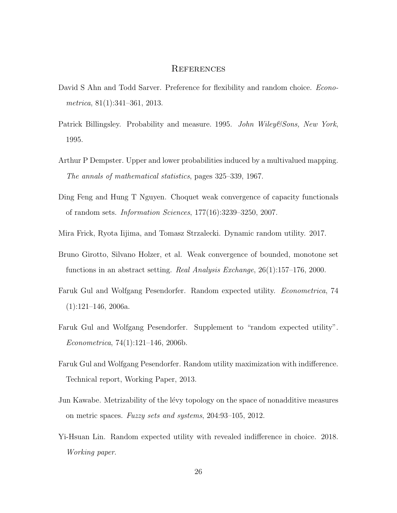# **REFERENCES**

- <span id="page-25-1"></span>David S Ahn and Todd Sarver. Preference for flexibility and random choice. *Econo*metrica, 81(1):341–361, 2013.
- <span id="page-25-9"></span>Patrick Billingsley. Probability and measure. 1995. John Wiley&Sons, New York, 1995.
- <span id="page-25-10"></span>Arthur P Dempster. Upper and lower probabilities induced by a multivalued mapping. The annals of mathematical statistics, pages 325–339, 1967.
- <span id="page-25-7"></span>Ding Feng and Hung T Nguyen. Choquet weak convergence of capacity functionals of random sets. Information Sciences, 177(16):3239–3250, 2007.
- <span id="page-25-3"></span>Mira Frick, Ryota Iijima, and Tomasz Strzalecki. Dynamic random utility. 2017.
- <span id="page-25-8"></span>Bruno Girotto, Silvano Holzer, et al. Weak convergence of bounded, monotone set functions in an abstract setting. Real Analysis Exchange, 26(1):157–176, 2000.
- <span id="page-25-0"></span>Faruk Gul and Wolfgang Pesendorfer. Random expected utility. Econometrica, 74  $(1):121-146, 2006a.$
- <span id="page-25-2"></span>Faruk Gul and Wolfgang Pesendorfer. Supplement to "random expected utility". Econometrica, 74(1):121–146, 2006b.
- <span id="page-25-5"></span>Faruk Gul and Wolfgang Pesendorfer. Random utility maximization with indifference. Technical report, Working Paper, 2013.
- <span id="page-25-6"></span>Jun Kawabe. Metrizability of the lévy topology on the space of nonadditive measures on metric spaces. Fuzzy sets and systems, 204:93–105, 2012.
- <span id="page-25-4"></span>Yi-Hsuan Lin. Random expected utility with revealed indifference in choice. 2018. Working paper.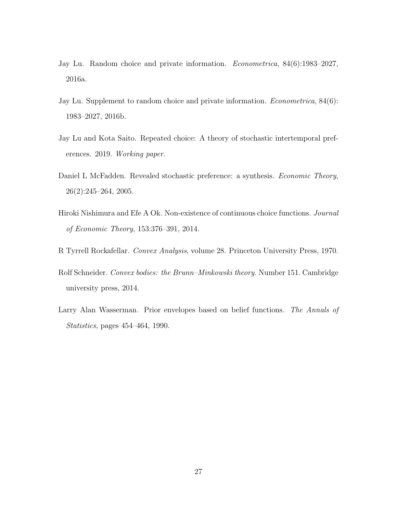- <span id="page-26-0"></span>Jay Lu. Random choice and private information. Econometrica, 84(6):1983–2027, 2016a.
- <span id="page-26-4"></span>Jay Lu. Supplement to random choice and private information. *Econometrica*, 84(6): 1983–2027, 2016b.
- <span id="page-26-1"></span>Jay Lu and Kota Saito. Repeated choice: A theory of stochastic intertemporal preferences. 2019. Working paper.
- <span id="page-26-2"></span>Daniel L McFadden. Revealed stochastic preference: a synthesis. *Economic Theory*, 26(2):245–264, 2005.
- <span id="page-26-3"></span>Hiroki Nishimura and Efe A Ok. Non-existence of continuous choice functions. Journal of Economic Theory, 153:376–391, 2014.
- <span id="page-26-5"></span>R Tyrrell Rockafellar. Convex Analysis, volume 28. Princeton University Press, 1970.
- <span id="page-26-6"></span>Rolf Schneider. Convex bodies: the Brunn–Minkowski theory. Number 151. Cambridge university press, 2014.
- <span id="page-26-7"></span>Larry Alan Wasserman. Prior envelopes based on belief functions. The Annals of Statistics, pages 454–464, 1990.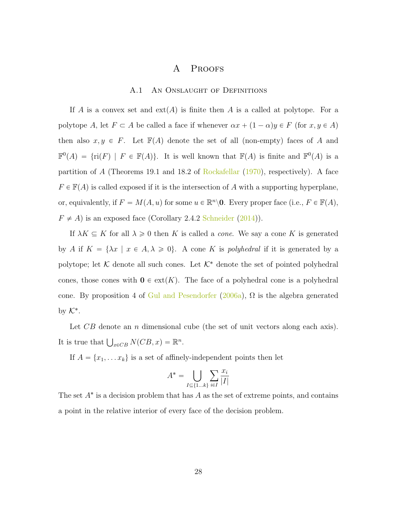# A Proofs

## A.1 An Onslaught of Definitions

If A is a convex set and  $ext(A)$  is finite then A is a called at polytope. For a polytope A, let  $F \subset A$  be called a face if whenever  $\alpha x + (1 - \alpha)y \in F$  (for  $x, y \in A$ ) then also  $x, y \in F$ . Let  $\mathbb{F}(A)$  denote the set of all (non-empty) faces of A and  $\mathbb{F}^0(A) = \{ri(F) \mid F \in \mathbb{F}(A)\}\.$  It is well known that  $\mathbb{F}(A)$  is finite and  $\mathbb{F}^0(A)$  is a partition of A (Theorems 19.1 and 18.2 of [Rockafellar](#page-26-5)  $(1970)$ , respectively). A face  $F \in \mathbb{F}(A)$  is called exposed if it is the intersection of A with a supporting hyperplane, or, equivalently, if  $F = M(A, u)$  for some  $u \in \mathbb{R}^n \backslash \mathbf{0}$ . Every proper face (i.e.,  $F \in \mathbb{F}(A)$ ,  $F \neq A$ ) is an exposed face (Corollary 2.4.2 [Schneider](#page-26-6) [\(2014\)](#page-26-6)).

If  $\lambda K \subseteq K$  for all  $\lambda \geq 0$  then K is called a *cone*. We say a cone K is generated by A if  $K = {\lambda x \mid x \in A, \lambda \ge 0}$ . A cone K is polyhedral if it is generated by a polytope; let  $K$  denote all such cones. Let  $K^*$  denote the set of pointed polyhedral cones, those cones with  $\mathbf{0} \in \text{ext}(K)$ . The face of a polyhedral cone is a polyhedral cone. By proposition 4 of [Gul and Pesendorfer](#page-25-0) [\(2006a\)](#page-25-0),  $\Omega$  is the algebra generated by  $\mathcal{K}^*$ .

Let CB denote an n dimensional cube (the set of unit vectors along each axis). It is true that  $\bigcup_{x \in CB} N(CB, x) = \mathbb{R}^n$ .

If  $A = \{x_1, \ldots x_k\}$  is a set of affinely-independent points then let

$$
A^* = \bigcup_{I \subseteq \{1...k\}} \sum_{i \in I} \frac{x_i}{|I|}
$$

The set  $A^*$  is a decision problem that has  $A$  as the set of extreme points, and contains a point in the relative interior of every face of the decision problem.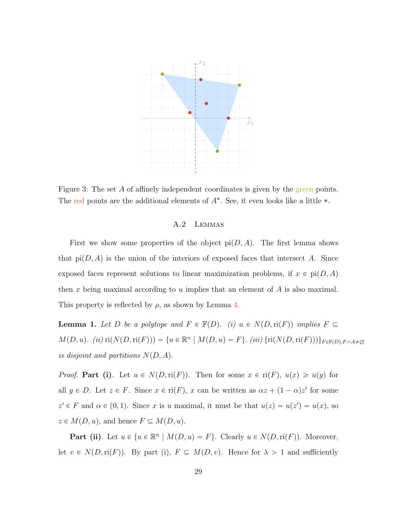

Figure 3: The set A of affinely independent coordinates is given by the green points. The red points are the additional elements of  $A^*$ . See, it even looks like a little  $*$ .

# A.2 Lemmas

First we show some properties of the object  $pi(D, A)$ . The first lemma shows that  $pi(D, A)$  is the union of the interiors of exposed faces that intersect A. Since exposed faces represent solutions to linear maximization problems, if  $x \in \text{pi}(D, A)$ then x being maximal according to u implies that an element of  $A$  is also maximal. This property is reflected by  $\rho$ , as shown by Lemma [4.](#page-30-1)

<span id="page-28-0"></span>**Lemma 1.** Let D be a polytope and  $F \in \mathbb{F}(D)$ . (i)  $u \in N(D,\text{ri}(F))$  implies  $F \subseteq$  $M(D, u)$ . (ii)  $\text{ri}(N(D, \text{ri}(F))) = \{u \in \mathbb{R}^n \mid M(D, u) = F\}$ . (iii)  $\{\text{ri}(N(D, \text{ri}(F)))\}_{F \in \mathbb{F}(D), F \cap A \neq \emptyset}$ is disjoint and partitions  $N(D, A)$ .

*Proof.* Part (i). Let  $u \in N(D,\text{ri}(F))$ . Then for some  $x \in \text{ri}(F)$ ,  $u(x) \geq u(y)$  for all  $y \in D$ . Let  $z \in F$ . Since  $x \in ri(F)$ , x can be written as  $\alpha z + (1 - \alpha)z'$  for some  $z' \in F$  and  $\alpha \in (0, 1)$ . Since x is u maximal, it must be that  $u(z) = u(z') = u(x)$ , so  $z \in M(D, u)$ , and hence  $F \subseteq M(D, u)$ .

**Part (ii)**. Let  $u \in \{u \in \mathbb{R}^n \mid M(D, u) = F\}$ . Clearly  $u \in N(D, ri(F))$ . Moreover, let  $v \in N(D,\text{ri}(F))$ . By part (i),  $F \subseteq M(D, v)$ . Hence for  $\lambda > 1$  and sufficiently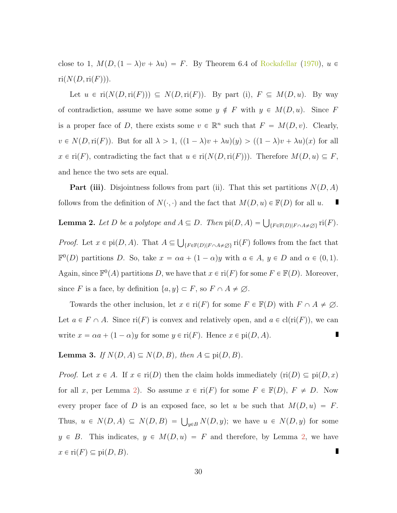close to 1,  $M(D,(1 - \lambda)v + \lambda u) = F$ . By Theorem 6.4 of [Rockafellar](#page-26-5) [\(1970\)](#page-26-5),  $u \in$  $ri(N(D,ri(F))).$ 

Let  $u \in \text{ri}(N(D, \text{ri}(F))) \subseteq N(D, \text{ri}(F))$ . By part (i),  $F \subseteq M(D, u)$ . By way of contradiction, assume we have some some  $y \notin F$  with  $y \in M(D, u)$ . Since F is a proper face of D, there exists some  $v \in \mathbb{R}^n$  such that  $F = M(D, v)$ . Clearly,  $v \in N(D, ri(F))$ . But for all  $\lambda > 1$ ,  $((1 - \lambda)v + \lambda u)(y) > ((1 - \lambda)v + \lambda u)(x)$  for all  $x \in \text{ri}(F)$ , contradicting the fact that  $u \in \text{ri}(N(D, \text{ri}(F)))$ . Therefore  $M(D, u) \subseteq F$ , and hence the two sets are equal.

**Part (iii).** Disjointness follows from part (ii). That this set partitions  $N(D, A)$ follows from the definition of  $N(\cdot, \cdot)$  and the fact that  $M(D, u) \in \mathbb{F}(D)$  for all u.

<span id="page-29-0"></span>**Lemma 2.** Let D be a polytope and  $A \subseteq D$ . Then  $\text{pi}(D, A) = \bigcup_{\{F \in \mathbb{F}(D) \mid F \cap A \neq \emptyset\}} \text{ri}(F)$ . *Proof.* Let  $x \in \text{pi}(D, A)$ . That  $A \subseteq$  $\{F \in \mathbb{F}(D) | F \cap A \neq \emptyset\}$  ri $(F)$  follows from the fact that  $\mathbb{F}^0(D)$  partitions D. So, take  $x = \alpha a + (1 - \alpha)y$  with  $a \in A, y \in D$  and  $\alpha \in (0, 1)$ . Again, since  $\mathbb{F}^0(A)$  partitions D, we have that  $x \in \text{ri}(F)$  for some  $F \in \mathbb{F}(D)$ . Moreover, since F is a face, by definition  $\{a, y\} \subset F$ , so  $F \cap A \neq \emptyset$ .

Towards the other inclusion, let  $x \in \text{ri}(F)$  for some  $F \in \mathbb{F}(D)$  with  $F \cap A \neq \emptyset$ . Let  $a \in F \cap A$ . Since ri $(F)$  is convex and relatively open, and  $a \in \text{cl}(ri(F))$ , we can write  $x = \alpha a + (1 - \alpha)y$  for some  $y \in \text{ri}(F)$ . Hence  $x \in \text{pi}(D, A)$ . П

<span id="page-29-1"></span>**Lemma 3.** If  $N(D, A) \subseteq N(D, B)$ , then  $A \subseteq \text{pi}(D, B)$ .

*Proof.* Let  $x \in A$ . If  $x \in ri(D)$  then the claim holds immediately  $(ri(D) \subseteq pi(D, x)$ for all x, per Lemma [2\)](#page-29-0). So assume  $x \in ri(F)$  for some  $F \in \mathbb{F}(D)$ ,  $F \neq D$ . Now every proper face of D is an exposed face, so let u be such that  $M(D, u) = F$ . Thus,  $u \in N(D, A) \subseteq N(D, B) = \bigcup_{y \in B} N(D, y)$ ; we have  $u \in N(D, y)$  for some  $y \in B$ . This indicates,  $y \in M(D, u) = F$  and therefore, by Lemma [2,](#page-29-0) we have  $x \in \text{ri}(F) \subseteq \text{pi}(D, B).$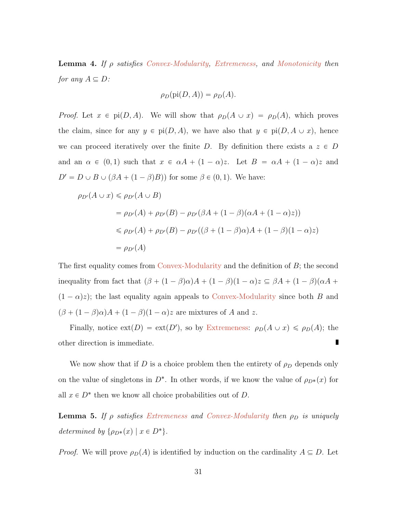<span id="page-30-1"></span>**Lemma 4.** If  $\rho$  satisfies [Convex-Modularity,](#page-20-1) [Extremeness,](#page-11-2) and [Monotonicity](#page-11-1) then for any  $A \subseteq D$ :

$$
\rho_D(\text{pi}(D,A)) = \rho_D(A).
$$

*Proof.* Let  $x \in \text{pi}(D, A)$ . We will show that  $\rho_D(A \cup x) = \rho_D(A)$ , which proves the claim, since for any  $y \in \text{pi}(D, A)$ , we have also that  $y \in \text{pi}(D, A \cup x)$ , hence we can proceed iteratively over the finite D. By definition there exists a  $z \in D$ and an  $\alpha \in (0, 1)$  such that  $x \in \alpha A + (1 - \alpha)z$ . Let  $B = \alpha A + (1 - \alpha)z$  and  $D' = D \cup B \cup (\beta A + (1 - \beta)B)$  for some  $\beta \in (0, 1)$ . We have:

$$
\rho_{D'}(A \cup x) \le \rho_{D'}(A \cup B)
$$
  
=  $\rho_{D'}(A) + \rho_{D'}(B) - \rho_{D'}(\beta A + (1 - \beta)(\alpha A + (1 - \alpha)z))$   
 $\le \rho_{D'}(A) + \rho_{D'}(B) - \rho_{D'}((\beta + (1 - \beta)\alpha)A + (1 - \beta)(1 - \alpha)z)$   
=  $\rho_{D'}(A)$ 

The first equality comes from [Convex-Modularity](#page-20-1) and the definition of B; the second inequality from fact that  $(\beta + (1 - \beta)\alpha)A + (1 - \beta)(1 - \alpha)z \subseteq \beta A + (1 - \beta)(\alpha A + \beta)$  $(1 - \alpha)z$ ; the last equality again appeals to [Convex-Modularity](#page-20-1) since both B and  $(\beta + (1 - \beta)\alpha)A + (1 - \beta)(1 - \alpha)z$  are mixtures of A and z.

Finally, notice  $ext(D) = ext(D')$ , so by [Extremeness:](#page-11-2)  $\rho_D(A \cup x) \leq \rho_D(A)$ ; the other direction is immediate.

We now show that if D is a choice problem then the entirety of  $\rho_D$  depends only on the value of singletons in  $D^*$ . In other words, if we know the value of  $\rho_{D^*}(x)$  for all  $x \in D^*$  then we know all choice probabilities out of D.

<span id="page-30-0"></span>**Lemma 5.** If  $\rho$  satisfies [Extremeness](#page-11-2) and [Convex-Modularity](#page-20-1) then  $\rho_D$  is uniquely determined by  $\{\rho_{D^*}(x) \mid x \in D^*\}.$ 

*Proof.* We will prove  $\rho_D(A)$  is identified by induction on the cardinality  $A \subseteq D$ . Let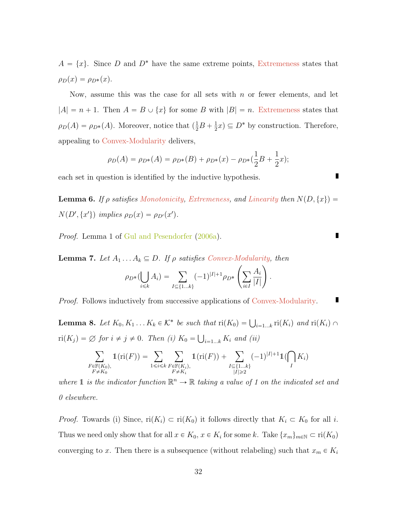$A = \{x\}$ . Since D and D<sup>\*</sup> have the same extreme points, [Extremeness](#page-11-2) states that  $\rho_D(x) = \rho_{D^*}(x).$ 

Now, assume this was the case for all sets with  $n$  or fewer elements, and let  $|A| = n + 1$ . Then  $A = B \cup \{x\}$  for some B with  $|B| = n$ . [Extremeness](#page-11-2) states that  $\rho_D(A) = \rho_{D^*}(A)$ . Moreover, notice that  $\left(\frac{1}{2}B + \frac{1}{2}\right)$  $\frac{1}{2}x \subseteq D^*$  by construction. Therefore, appealing to [Convex-Modularity](#page-20-1) delivers,

$$
\rho_D(A) = \rho_{D^*}(A) = \rho_{D^*}(B) + \rho_{D^*}(x) - \rho_{D^*}(\frac{1}{2}B + \frac{1}{2}x);
$$

each set in question is identified by the inductive hypothesis.

<span id="page-31-0"></span>**Lemma 6.** If  $\rho$  satisfies [Monotonicity,](#page-11-1) [Extremeness,](#page-11-2) and [Linearity](#page-11-3) then  $N(D, \{x\})$  =  $N(D', \{x'\})$  implies  $\rho_D(x) = \rho_{D'}(x')$ .

Proof. Lemma 1 of [Gul and Pesendorfer](#page-25-0) [\(2006a\)](#page-25-0).

<span id="page-31-2"></span>**Lemma 7.** Let  $A_1 \ldots A_k \subseteq D$ . If  $\rho$  satisfies [Convex-Modularity,](#page-20-1) then  $u$ 

$$
\therefore A_k \subseteq D. \text{ If } \rho \text{ satisfies Convex-Mouularity}
$$
\n
$$
\rho_{D^*}(\bigcup_{i \le k} A_i) = \sum_{I \subseteq \{1...k\}} (-1)^{|I|+1} \rho_{D^*} \left( \sum_{i \in I} \frac{A_i}{|I|} \right)
$$

.

Proof. Follows inductively from successive applications of [Convex-Modularity.](#page-20-1) П

<span id="page-31-1"></span>**Lemma 8.** Let  $K_0, K_1...K_k \in \mathcal{K}^*$  be such that  $ri(K_0) = \bigcup_{i=1...k} ri(K_i)$  and  $ri(K_i) \cap$  $\operatorname{ri}(K_j) = \varnothing$  for  $i \neq j \neq 0$ . Then (i)  $K_0 = \bigcup_{i=1...k} K_i$  and (ii) č

$$
\sum_{\substack{F \in \mathbb{F}(K_0), \\ F \neq K_0}} 1(\mathrm{ri}(F)) = \sum_{1 \le i \le k} \sum_{\substack{F \in \mathbb{F}(K_i), \\ F \neq K_i}} 1(\mathrm{ri}(F)) + \sum_{\substack{I \subseteq \{1...k\} \\ |I| \ge 2}} (-1)^{|I|+1} 1(\bigcap_{I} K_i)
$$

where 1 is the indicator function  $\mathbb{R}^n \to \mathbb{R}$  taking a value of 1 on the indicated set and 0 elsewhere.

*Proof.* Towards (i) Since,  $ri(K_i) \subset ri(K_0)$  it follows directly that  $K_i \subset K_0$  for all i. Thus we need only show that for all  $x \in K_0$ ,  $x \in K_i$  for some k. Take  $\{x_m\}_{m \in \mathbb{N}} \subset \text{ri}(K_0)$ converging to x. Then there is a subsequence (without relabeling) such that  $x_m \in K_i$ 

П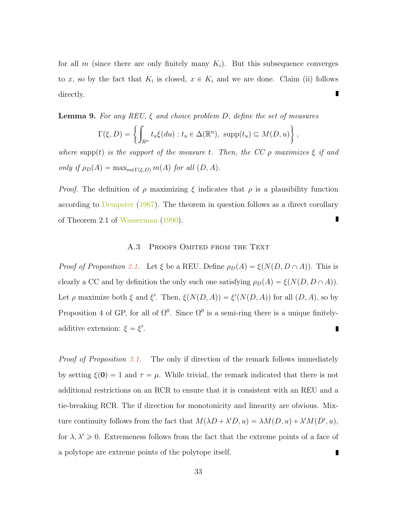for all m (since there are only finitely many  $K_i$ ). But this subsequence converges to x, so by the fact that  $K_i$  is closed,  $x \in K_i$  and we are done. Claim (ii) follows п directly.

<span id="page-32-0"></span>**Lemma 9.** For any REU,  $\xi$  and choice problem D, define the set of measures

$$
\Gamma(\xi, D) = \left\{ \int_{R^n} t_u \xi(du) : t_u \in \Delta(\mathbb{R}^n), \text{ supp}(t_u) \subseteq M(D, u) \right\},
$$

where supp(t) is the support of the measure t. Then, the CC  $\rho$  maximizes  $\xi$  if and only if  $\rho_D(A) = \max_{m \in \Gamma(\xi,D)} m(A)$  for all  $(D, A)$ .

*Proof.* The definition of  $\rho$  maximizing  $\xi$  indicates that  $\rho$  is a plausibility function according to [Dempster](#page-25-10) [\(1967\)](#page-25-10). The theorem in question follows as a direct corollary of Theorem 2.1 of [Wasserman](#page-26-7) [\(1990\)](#page-26-7).

## A.3 PROOFS OMITED FROM THE TEXT

*Proof of Proposition [2.1.](#page-10-0)* Let  $\xi$  be a REU. Define  $\rho_D(A) = \xi(N(D, D \cap A))$ . This is clearly a CC and by definition the only such one satisfying  $\rho_D(A) = \xi(N(D, D \cap A)).$ Let  $\rho$  maximize both  $\xi$  and  $\xi'$ . Then,  $\xi(N(D, A)) = \xi'(N(D, A))$  for all  $(D, A)$ , so by Proposition 4 of GP, for all of  $\Omega^0$ . Since  $\Omega^0$  is a semi-ring there is a unique finitelyadditive extension:  $\xi = \xi'$ . Г

*Proof of Proposition [3.1.](#page-13-0)* The only if direction of the remark follows immediately by setting  $\xi(0) = 1$  and  $\tau = \mu$ . While trivial, the remark indicated that there is not additional restrictions on an RCR to ensure that it is consistent with an REU and a tie-breaking RCR. The if direction for monotonicity and linearity are obvious. Mixture continuity follows from the fact that  $M(\lambda D + \lambda' D, u) = \lambda M(D, u) + \lambda' M(D', u)$ , for  $\lambda, \lambda' \geq 0$ . Extremeness follows from the fact that the extreme points of a face of a polytope are extreme points of the polytope itself. П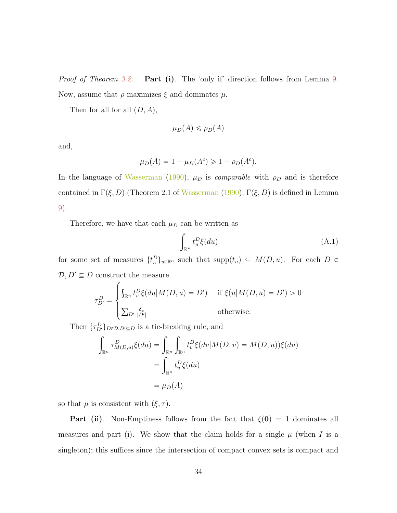Proof of Theorem [3.2.](#page-14-0) **Part (i)**. The 'only if' direction follows from Lemma [9.](#page-32-0) Now, assume that  $\rho$  maximizes  $\xi$  and dominates  $\mu$ .

Then for all for all  $(D, A)$ ,

$$
\mu_D(A) \le \rho_D(A)
$$

and,

$$
\mu_D(A) = 1 - \mu_D(A^c) \geq 1 - \rho_D(A^c).
$$

In the language of [Wasserman](#page-26-7) [\(1990\)](#page-26-7),  $\mu_D$  is *comparable* with  $\rho_D$  and is therefore contained in  $\Gamma(\xi, D)$  (Theorem 2.1 of [Wasserman](#page-26-7) [\(1990\)](#page-26-7);  $\Gamma(\xi, D)$  is defined in Lemma [9\)](#page-32-0).

Therefore, we have that each  $\mu_D$  can be written as

$$
\int_{\mathbb{R}^n} t_u^D \xi(du) \tag{A.1}
$$

for some set of measures  $\{t_u^D\}_{u\in\mathbb{R}^n}$  such that  $\text{supp}(t_u) \subseteq M(D, u)$ . For each  $D \in$  $\mathcal{D}, D' \subseteq D$  construct the measure

$$
\tau_{D'}^D = \begin{cases} \int_{\mathbb{R}^n} t_v^D \xi(du | M(D, u) = D') & \text{if } \xi(u | M(D, u) = D') > 0 \\ \sum_{D'} \frac{\delta_x}{|D'|} & \text{otherwise.} \end{cases}
$$

Then 
$$
\{\tau_{D'}^D\}_{D \in \mathcal{D}, D' \subseteq D}
$$
 is a tie-breaking rule, and  
\n
$$
\int_{\mathbb{R}^n} \tau_{M(D,u)}^D \xi(du) = \int_{\mathbb{R}^n} \int_{\mathbb{R}^n} t_v^D \xi(dv | M(D, v) = M(D, u)) \xi(du)
$$
\n
$$
= \int_{\mathbb{R}^n} t_u^D \xi(du)
$$
\n
$$
= \mu_D(A)
$$

so that  $\mu$  is consistent with  $(\xi, \tau)$ .

**Part (ii).** Non-Emptiness follows from the fact that  $\xi(0) = 1$  dominates all measures and part (i). We show that the claim holds for a single  $\mu$  (when I is a singleton); this suffices since the intersection of compact convex sets is compact and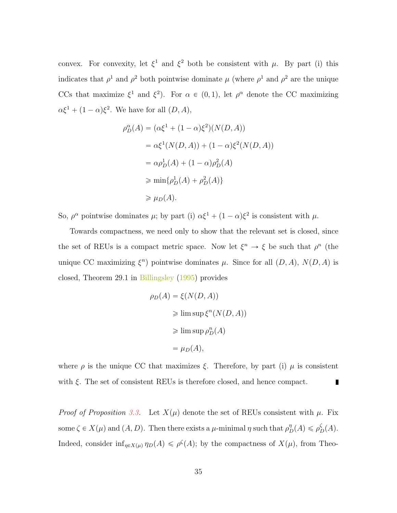convex. For convexity, let  $\xi^1$  and  $\xi^2$  both be consistent with  $\mu$ . By part (i) this indicates that  $\rho^1$  and  $\rho^2$  both pointwise dominate  $\mu$  (where  $\rho^1$  and  $\rho^2$  are the unique CCs that maximize  $\xi^1$  and  $\xi^2$ ). For  $\alpha \in (0,1)$ , let  $\rho^{\alpha}$  denote the CC maximizing  $\alpha \xi^1 + (1 - \alpha)\xi^2$ . We have for all  $(D, A)$ ,

$$
\rho_D^{\alpha}(A) = (\alpha \xi^1 + (1 - \alpha)\xi^2)(N(D, A))
$$
  
=  $\alpha \xi^1(N(D, A)) + (1 - \alpha)\xi^2(N(D, A))$   
=  $\alpha \rho_D^1(A) + (1 - \alpha)\rho_D^2(A)$   
 $\ge \min{\rho_D^1(A) + \rho_D^2(A)}$   
 $\ge \mu_D(A).$ 

So,  $\rho^{\alpha}$  pointwise dominates  $\mu$ ; by part (i)  $\alpha \xi^{1} + (1 - \alpha) \xi^{2}$  is consistent with  $\mu$ .

Towards compactness, we need only to show that the relevant set is closed, since the set of REUs is a compact metric space. Now let  $\xi^n \to \xi$  be such that  $\rho^n$  (the unique CC maximizing  $\xi^n$ ) pointwise dominates  $\mu$ . Since for all  $(D, A)$ ,  $N(D, A)$  is closed, Theorem 29.1 in [Billingsley](#page-25-9) [\(1995\)](#page-25-9) provides

$$
\rho_D(A) = \xi(N(D, A))
$$
  
\n
$$
\geq \limsup \xi^n(N(D, A))
$$
  
\n
$$
\geq \limsup \rho_D^n(A)
$$
  
\n
$$
= \mu_D(A),
$$

where  $\rho$  is the unique CC that maximizes  $\xi$ . Therefore, by part (i)  $\mu$  is consistent with  $\xi$ . The set of consistent REUs is therefore closed, and hence compact. П

*Proof of Proposition [3.3.](#page-15-1)* Let  $X(\mu)$  denote the set of REUs consistent with  $\mu$ . Fix some  $\zeta \in X(\mu)$  and  $(A, D)$ . Then there exists a  $\mu$ -minimal  $\eta$  such that  $\rho_D^{\eta}(A) \leq \rho_D^{\zeta}(A)$ . Indeed, consider  $\inf_{\eta \in X(\mu)} \eta_D(A) \leq \rho^{\zeta}(A)$ ; by the compactness of  $X(\mu)$ , from Theo-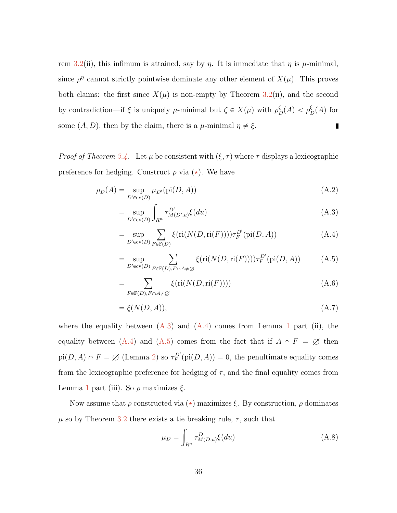rem [3.2\(](#page-14-0)ii), this infimum is attained, say by  $\eta$ . It is immediate that  $\eta$  is  $\mu$ -minimal, since  $\rho^{\eta}$  cannot strictly pointwise dominate any other element of  $X(\mu)$ . This proves both claims: the first since  $X(\mu)$  is non-empty by Theorem [3.2\(](#page-14-0)ii), and the second by contradiction—if  $\xi$  is uniquely  $\mu$ -minimal but  $\zeta \in X(\mu)$  with  $\rho_D^{\zeta}(A) < \rho_D^{\xi}(A)$  for some  $(A, D)$ , then by the claim, there is a  $\mu$ -minimal  $\eta \neq \xi$ .  $\blacksquare$ 

*Proof of Theorem [3.4.](#page-18-1)* Let  $\mu$  be consistent with  $(\xi, \tau)$  where  $\tau$  displays a lexicographic preference for hedging. Construct  $\rho$  via  $(\star)$ . We have

$$
\rho_D(A) = \sup_{D' \in \text{cv}(D)} \mu_{D'}(\text{pi}(D, A)) \tag{A.2}
$$

<span id="page-35-1"></span><span id="page-35-0"></span>
$$
= \sup_{D' \in \text{cv}(D)} \int_{R^n} \tau_{M(D',u)}^{D'} \xi(du) \tag{A.3}
$$

$$
= \sup_{D' \in \text{cv}(D)} \sum_{F \in \mathbb{F}(D)} \xi(\text{ri}(N(D, \text{ri}(F)))) \tau_F^{D'}(\text{pi}(D, A)) \tag{A.4}
$$

<span id="page-35-2"></span>
$$
= \sup_{D' \in \text{cv}(D)} \sum_{F \in \mathbb{F}(D), F \cap A \neq \emptyset} \xi(\text{ri}(N(D, \text{ri}(F)))) \tau_F^{D'}(\text{pi}(D, A)) \tag{A.5}
$$

$$
=\sum_{F\in\mathbb{F}(D),F\cap A\neq\emptyset}\xi(\text{ri}(N(D,\text{ri}(F))))\tag{A.6}
$$

$$
= \xi(N(D, A)), \tag{A.7}
$$

where the equality between  $(A.3)$  and  $(A.4)$  comes from Lemma [1](#page-28-0) part (ii), the equality between [\(A.4\)](#page-35-1) and [\(A.5\)](#page-35-2) comes from the fact that if  $A \cap F = \emptyset$  then  $pi(D, A) \cap F = \emptyset$  (Lemma [2\)](#page-29-0) so  $\tau_F^{D'}(\text{pi}(D, A)) = 0$ , the penultimate equality comes from the lexicographic preference for hedging of  $\tau$ , and the final equality comes from Lemma [1](#page-28-0) part (iii). So  $\rho$  maximizes  $\xi$ .

Now assume that  $\rho$  constructed via  $(\star)$  maximizes  $\xi$ . By construction,  $\rho$  dominates  $\mu$  so by Theorem [3.2](#page-14-0) there exists a tie breaking rule,  $\tau$ , such that

<span id="page-35-3"></span>
$$
\mu_D = \int_{R^n} \tau^D_{M(D,u)} \xi(du) \tag{A.8}
$$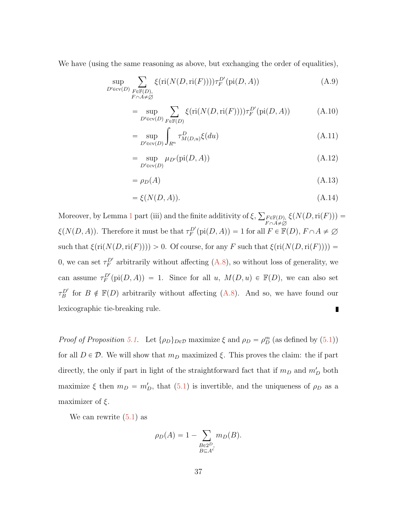We have (using the same reasoning as above, but exchanging the order of equalities),

$$
\sup_{D' \in \text{cv}(D)} \sum_{\substack{F \in \mathbb{F}(D), \\ F \cap A \neq \emptyset}} \xi(\text{ri}(N(D, \text{ri}(F)))) \tau_F^{D'}(\text{pi}(D, A))
$$
\n(A.9)

$$
= \sup_{D' \in \text{cv}(D)} \sum_{F \in \mathbb{F}(D)} \xi(\text{ri}(N(D, \text{ri}(F)))) \tau_F^{D'}(\text{pi}(D, A)) \tag{A.10}
$$

$$
= \sup_{D' \in \text{cv}(D)} \int_{R^n} \tau^D_{M(D,u)} \xi(du) \tag{A.11}
$$

$$
= \sup_{D' \in \text{cv}(D)} \mu_{D'}(\text{pi}(D, A)) \tag{A.12}
$$

$$
= \rho_D(A) \tag{A.13}
$$

$$
= \xi(N(D, A)). \tag{A.14}
$$

Moreover, by Lemma [1](#page-28-0) part (iii) and the finite additivity of  $\xi$ ,  $\xi(N(D,\mathrm{ri}(F))) =$  $F \in \mathbb{F}(D)$ ,  $F \cap A \neq \varnothing$  $\xi(N(D, A))$ . Therefore it must be that  $\tau_F^{D'}(\text{pi}(D, A)) = 1$  for all  $F \in \mathbb{F}(D)$ ,  $F \cap A \neq \emptyset$ such that  $\xi(\text{ri}(N(D,\text{ri}(F)))) > 0$ . Of course, for any F such that  $\xi(\text{ri}(N(D,\text{ri}(F)))) =$ 0, we can set  $\tau_F^{D'}$  arbitrarily without affecting [\(A.8\)](#page-35-3), so without loss of generality, we can assume  $\tau_F^{D'}(\text{pi}(D, A)) = 1$ . Since for all u,  $M(D, u) \in \mathbb{F}(D)$ , we can also set  $\tau_B^{D'}$  for  $B \notin \mathbb{F}(D)$  arbitrarily without affecting [\(A.8\)](#page-35-3). And so, we have found our lexicographic tie-breaking rule. П

Proof of Proposition [5.1.](#page-23-0) Let  $\{\rho_D\}_{D \in \mathcal{D}}$  maximize  $\xi$  and  $\rho_D = \rho_D^m$  (as defined by [\(5.1\)](#page-22-0)) for all  $D \in \mathcal{D}$ . We will show that  $m_D$  maximized  $\xi$ . This proves the claim: the if part directly, the only if part in light of the straightforward fact that if  $m_D$  and  $m_D'$  both maximize  $\xi$  then  $m_D = m_D'$ , that [\(5.1\)](#page-22-0) is invertible, and the uniqueness of  $\rho_D$  as a maximizer of  $\xi$ .

We can rewrite [\(5.1\)](#page-22-0) as

$$
\rho_D(A) = 1 - \sum_{\substack{B \in 2^D, \\ B \subseteq A^c}} m_D(B).
$$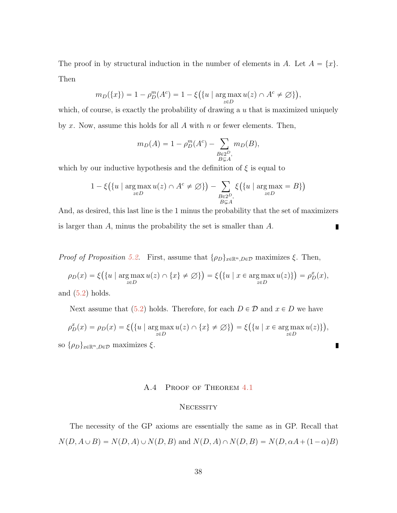The proof in by structural induction in the number of elements in A. Let  $A = \{x\}$ . Then

$$
m_D(\{x\}) = 1 - \rho_D^m(A^c) = 1 - \xi(\{u \mid \arg\max_{z \in D} u(z) \cap A^c \neq \emptyset\}),
$$

which, of course, is exactly the probability of drawing a  $u$  that is maximized uniquely by x. Now, assume this holds for all  $A$  with  $n$  or fewer elements. Then,

$$
m_D(A) = 1 - \rho_D^m(A^c) - \sum_{\substack{B \in 2^D, \\ B \subsetneq A}} m_D(B),
$$

which by our inductive hypothesis and the definition of  $\xi$  is equal to

$$
1 - \xi\left(\{u \mid \underset{z \in D}{\arg \max} u(z) \cap A^c \neq \varnothing\}\right) - \sum_{\substack{B \in 2^D, \\ B \subsetneq A}} \xi\left(\{u \mid \underset{z \in D}{\arg \max} = B\}\right)
$$

And, as desired, this last line is the 1 minus the probability that the set of maximizers is larger than A, minus the probability the set is smaller than A. П

*Proof of Proposition [5.2.](#page-24-1)* First, assume that  $\{\rho_D\}_{x\in\mathbb{R}^n, D\in\mathcal{D}}$  maximizes  $\xi$ . Then,

$$
\rho_D(x) = \xi\big(\{u \mid \arg\max_{z \in D} u(z) \cap \{x\} \neq \emptyset\}\big) = \xi\big(\{u \mid x \in \arg\max_{z \in D} u(z)\}\big) = \rho_D^x(x),
$$

and  $(5.2)$  holds.

Next assume that [\(5.2\)](#page-24-0) holds. Therefore, for each  $D \in \mathcal{D}$  and  $x \in D$  we have

$$
\rho_D^x(x) = \rho_D(x) = \xi\big(\{u \mid \argmax_{z \in D} u(z) \cap \{x\} \neq \emptyset\}\big) = \xi\big(\{u \mid x \in \argmax_{z \in D} u(z)\}\big),
$$

П

so  $\{\rho_D\}_{x\in\mathbb{R}^n, D\in\mathcal{D}}$  maximizes  $\xi$ .

### A.4 PROOF OF THEOREM [4.1](#page-20-0)

#### **NECESSITY**

The necessity of the GP axioms are essentially the same as in GP. Recall that  $N(D, A \cup B) = N(D, A) \cup N(D, B)$  and  $N(D, A) \cap N(D, B) = N(D, \alpha A + (1 - \alpha)B)$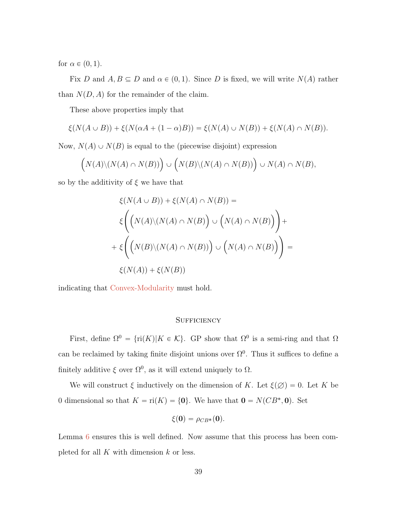for  $\alpha \in (0, 1)$ .

Fix D and  $A, B \subseteq D$  and  $\alpha \in (0, 1)$ . Since D is fixed, we will write  $N(A)$  rather than  $N(D, A)$  for the remainder of the claim.

These above properties imply that

$$
\xi(N(A \cup B)) + \xi(N(\alpha A + (1 - \alpha)B)) = \xi(N(A) \cup N(B)) + \xi(N(A) \cap N(B)).
$$

Now,  $N(A) \cup N(B)$  is equal to the (piecewise disjoint) expression

$$
(N(A)\setminus (N(A)\cap N(B)))\bigcup (N(B)\setminus (N(A)\cap N(B))\bigcup N(A)\cap N(B),
$$

so by the additivity of  $\xi$  we have that

$$
\xi(N(A \cup B)) + \xi(N(A) \cap N(B)) =
$$
  

$$
\xi\left(\left(N(A)\setminus (N(A) \cap N(B)\right) \cup \left(N(A) \cap N(B)\right)\right) +
$$
  

$$
+ \xi\left(\left(N(B)\setminus (N(A) \cap N(B))\right) \cup \left(N(A) \cap N(B)\right)\right) =
$$
  

$$
\xi(N(A)) + \xi(N(B))
$$

indicating that [Convex-Modularity](#page-20-1) must hold.

## **SUFFICIENCY**

First, define  $\Omega^0 = {\rm{ri}}(K)|K \in \mathcal{K}$ . GP show that  $\Omega^0$  is a semi-ring and that  $\Omega$ can be reclaimed by taking finite disjoint unions over  $\Omega^0$ . Thus it suffices to define a finitely additive  $\xi$  over  $\Omega^0$ , as it will extend uniquely to  $\Omega$ .

We will construct  $\xi$  inductively on the dimension of K. Let  $\xi(\emptyset) = 0$ . Let K be 0 dimensional so that  $K = \text{ri}(K) = \{0\}$ . We have that  $\mathbf{0} = N(CB^*, \mathbf{0})$ . Set

$$
\xi(\mathbf{0})=\rho_{CB^*}(\mathbf{0}).
$$

Lemma [6](#page-31-0) ensures this is well defined. Now assume that this process has been completed for all  $K$  with dimension  $k$  or less.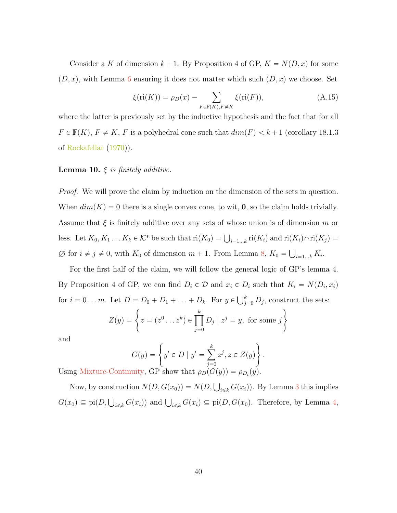Consider a K of dimension  $k + 1$ . By Proposition 4 of GP,  $K = N(D, x)$  for some  $(D, x)$ , with Lemma [6](#page-31-0) ensuring it does not matter which such  $(D, x)$  we choose. Set

<span id="page-39-0"></span>
$$
\xi(\text{ri}(K)) = \rho_D(x) - \sum_{F \in \mathbb{F}(K), F \neq K} \xi(\text{ri}(F)),\tag{A.15}
$$

where the latter is previously set by the inductive hypothesis and the fact that for all  $F \in \mathbb{F}(K)$ ,  $F \neq K$ , F is a polyhedral cone such that  $dim(F) < k + 1$  (corollary 18.1.3) of [Rockafellar](#page-26-5) [\(1970\)](#page-26-5)).

## **Lemma 10.**  $\xi$  is finitely additive.

Proof. We will prove the claim by induction on the dimension of the sets in question. When  $dim(K) = 0$  there is a single convex cone, to wit, **0**, so the claim holds trivially. Assume that  $\xi$  is finitely additive over any sets of whose union is of dimension m or less. Let  $K_0, K_1 \ldots K_k \in \mathcal{K}^*$  be such that  $ri(K_0) = \bigcup_{i=1...k} ri(K_i)$  and  $ri(K_i) \cap ri(K_j) =$  $\varnothing$  for  $i \neq j \neq 0$ , with  $K_0$  of dimension  $m + 1$ . From Lemma [8,](#page-31-1)  $K_0 = \bigcup_{i=1...k} K_i$ .

For the first half of the claim, we will follow the general logic of GP's lemma 4. By Proposition 4 of GP, we can find  $D_i \in \mathcal{D}$  and  $x_i \in D_i$  such that  $K_i = N(D_i, x_i)$ for  $i = 0 \dots m$ . Let  $D = D_0 + D_1 + \dots + D_k$ . For  $y \in \bigcup_{j=1}^k A_j$ .

Let 
$$
D = D_0 + D_1 + ... + D_k
$$
. For  $y \in \bigcup_{j=0}^k D_j$ , construct the sets:  
\n
$$
Z(y) = \left\{ z = (z^0 ... z^k) \in \prod_{j=0}^k D_j \mid z^j = y, \text{ for some } j \right\}
$$

and

and  
\n
$$
G(y) = \left\{ y' \in D \mid y' = \sum_{j=0}^{k} z^j, z \in Z(y) \right\}.
$$
\nUsing Mixture-Continuity, GP show that  $\rho_D(G(y)) = \rho_{D_i}(y)$ .

Now, by construction  $N(D, G(x_0)) = N(D, \bigcup_{i \leq k} G(x_i))$ . By Lemma [3](#page-29-1) this implies  $G(x_0) \subseteq \text{pi}(D, \bigcup_{i \leq k} G(x_i))$  and  $\bigcup_{i \leq k} G(x_i) \subseteq \text{pi}(D, G(x_0))$ . Therefore, by Lemma [4,](#page-30-1)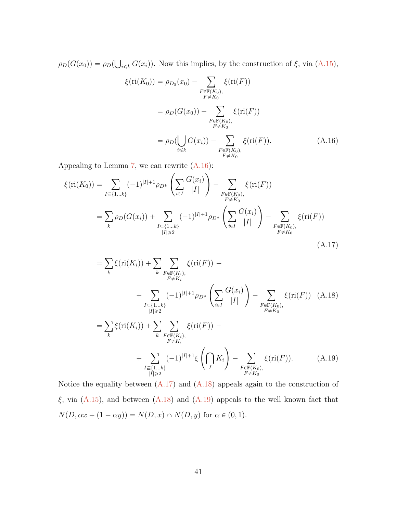$\rho_D(G(x_0)) = \rho_D(x)$  $i\leq k$   $G(x_i)$ ). Now this implies, by the construction of  $\xi$ , via  $(A.15)$ ,

<span id="page-40-0"></span>
$$
\xi(\text{ri}(K_0)) = \rho_{D_0}(x_0) - \sum_{\substack{F \in \mathbb{F}(K_0), \\ F \neq K_0}} \xi(\text{ri}(F))
$$
  
=  $\rho_D(G(x_0)) - \sum_{\substack{F \in \mathbb{F}(K_0), \\ F \neq K_0}} \xi(\text{ri}(F))$   
=  $\rho_D(\bigcup_{i \le k} G(x_i)) - \sum_{\substack{F \in \mathbb{F}(K_0), \\ F \neq K_0}} \xi(\text{ri}(F)).$  (A.16)

Appealing to Lemma [7,](#page-31-2) we can rewrite  $(A.16)$ :

$$
\xi(\text{ri}(K_0)) = \sum_{I \subseteq \{1...k\}} (-1)^{|I|+1} \rho_{D^*} \left( \sum_{i \in I} \frac{G(x_i)}{|I|} \right) - \sum_{\substack{F \in \mathbb{F}(K_0), \\ F \neq K_0}} \xi(\text{ri}(F))
$$
  
= 
$$
\sum_{k} \rho_D(G(x_i)) + \sum_{\substack{I \subseteq \{1...k\} \\ |I| \ge 2}} (-1)^{|I|+1} \rho_{D^*} \left( \sum_{i \in I} \frac{G(x_i)}{|I|} \right) - \sum_{\substack{F \in \mathbb{F}(K_0), \\ F \neq K_0}} \xi(\text{ri}(F))
$$
  
(A.17)

<span id="page-40-3"></span><span id="page-40-2"></span><span id="page-40-1"></span>
$$
= \sum_{k} \xi(\text{ri}(K_{i})) + \sum_{k} \sum_{F \in \mathbb{F}(K_{i}), \atop F \neq K_{i}} \xi(\text{ri}(F)) + \sum_{I \subseteq \{1...k\}} (-1)^{|I|+1} \rho_{D^{*}} \left( \sum_{i \in I} \frac{G(x_{i})}{|I|} \right) - \sum_{F \in \mathbb{F}(K_{0}), \atop F \neq K_{0}} \xi(\text{ri}(F)) \quad \text{(A.18)}
$$
  

$$
= \sum_{k} \xi(\text{ri}(K_{i})) + \sum_{k} \sum_{F \in \mathbb{F}(K_{i}), \atop F \neq K_{i}} \xi(\text{ri}(F)) + \sum_{I \subseteq \{1...k\}} (-1)^{|I|+1} \xi\left(\bigcap_{I} K_{i}\right) - \sum_{F \in \mathbb{F}(K_{0}), \atop F \neq K_{0}} \xi(\text{ri}(F)). \quad \text{(A.19)}
$$

Notice the equality between  $(A.17)$  and  $(A.18)$  appeals again to the construction of  $\xi$ , via [\(A.15\)](#page-39-0), and between [\(A.18\)](#page-40-2) and [\(A.19\)](#page-40-3) appeals to the well known fact that  $N(D, \alpha x + (1 - \alpha y)) = N(D, x) \cap N(D, y)$  for  $\alpha \in (0, 1)$ .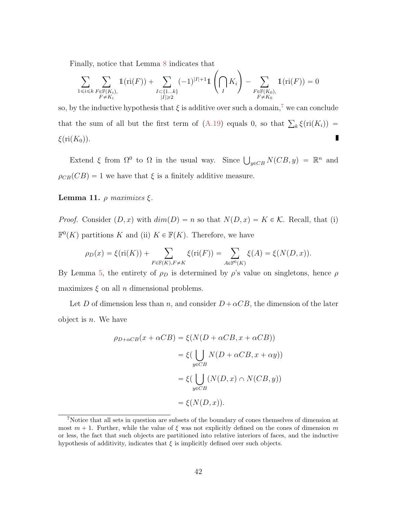Finally, notice that Lemma [8](#page-31-1) indicates that

$$
\sum_{1 \le i \le k} \sum_{\substack{F \in \mathbb{F}(K_i), \\ F \ne K_i}} 1(\mathrm{ri}(F)) + \sum_{\substack{I \subset \{1...k\} \\ |I| \ge 2}} (-1)^{|I|+1} 1\left(\bigcap_{I} K_i\right) - \sum_{\substack{F \in \mathbb{F}(K_0), \\ F \ne K_0}} 1(\mathrm{ri}(F)) = 0
$$

į,

so, by the inductive hypothesis that  $\xi$  is additive over such a domain,<sup>[7](#page-41-0)</sup> we can conclude that the sum of all but the first term of  $(A.19)$  equals 0, so that  $\sum_k \xi(ri(K_i))$  = П  $\xi$ (ri $(K_0)$ ).

Extend  $\xi$  from  $\Omega^0$  to  $\Omega$  in the usual way. Since  $\bigcup_{y \in CB} N(CB, y) = \mathbb{R}^n$  and  $\rho_{CB}(CB) = 1$  we have that  $\xi$  is a finitely additive measure.

# **Lemma 11.**  $ρ$  maximizes  $ξ$ .

*Proof.* Consider  $(D, x)$  with  $dim(D) = n$  so that  $N(D, x) = K \in \mathcal{K}$ . Recall, that (i)  $\mathbb{F}^0(K)$  partitions K and (ii)  $K \in \mathbb{F}(K)$ . Therefore, we have

$$
\rho_D(x) = \xi(\text{ri}(K)) + \sum_{F \in \mathbb{F}(K), F \neq K} \xi(\text{ri}(F)) = \sum_{A \in \mathbb{F}^0(K)} \xi(A) = \xi(N(D, x)).
$$

By Lemma [5,](#page-30-0) the entirety of  $\rho_D$  is determined by  $\rho$ 's value on singletons, hence  $\rho$ maximizes  $\xi$  on all n dimensional problems.

Let D of dimension less than n, and consider  $D + \alpha CB$ , the dimension of the later object is  $n$ . We have

$$
\rho_{D+\alpha CB}(x + \alpha CB) = \xi(N(D + \alpha CB, x + \alpha CB))
$$

$$
= \xi(\bigcup_{y \in CB} N(D + \alpha CB, x + \alpha y))
$$

$$
= \xi(\bigcup_{y \in CB} (N(D, x) \cap N(CB, y))
$$

$$
= \xi(N(D, x)).
$$

<span id="page-41-0"></span><sup>7</sup>Notice that all sets in question are subsets of the boundary of cones themselves of dimension at most  $m + 1$ . Further, while the value of  $\xi$  was not explicitly defined on the cones of dimension m or less, the fact that such objects are partitioned into relative interiors of faces, and the inductive hypothesis of additivity, indicates that  $\xi$  is implicitly defined over such objects.